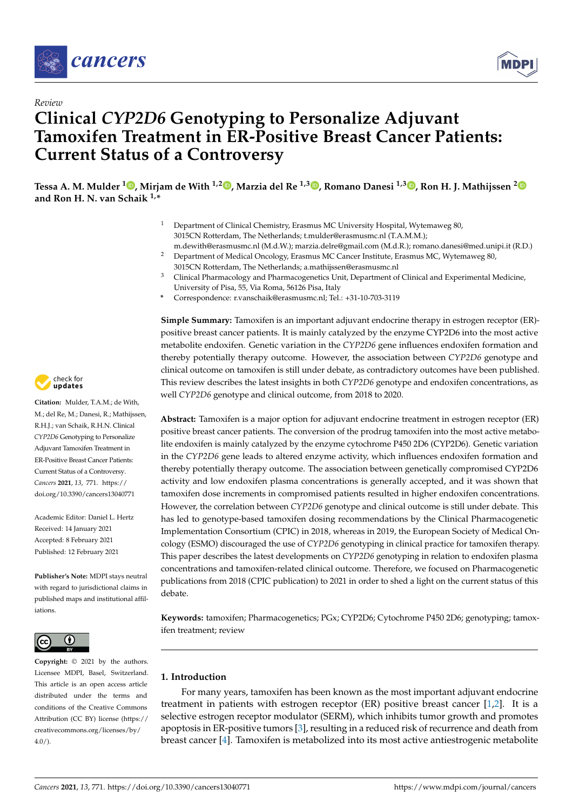



# *Review* **Clinical** *CYP2D6* **Genotyping to Personalize Adjuvant Tamoxifen Treatment in ER-Positive Breast Cancer Patients: Current Status of a Controversy**

**Tessa A. M. Mulder <sup>1</sup> [,](https://orcid.org/0000-0002-0698-785X) Mirjam de With 1,2 [,](https://orcid.org/0000-0002-9953-7945) Marzia del Re 1,3 [,](https://orcid.org/0000-0001-7343-6161) Romano Danesi 1,3 [,](https://orcid.org/0000-0002-4414-8934) Ron H. J. Mathijssen [2](https://orcid.org/0000-0001-5667-5697) and Ron H. N. van Schaik 1,\***

- <sup>1</sup> Department of Clinical Chemistry, Erasmus MC University Hospital, Wytemaweg 80, 3015CN Rotterdam, The Netherlands; t.mulder@erasmusmc.nl (T.A.M.M.);
- m.dewith@erasmusmc.nl (M.d.W.); marzia.delre@gmail.com (M.d.R.); romano.danesi@med.unipi.it (R.D.) <sup>2</sup> Department of Medical Oncology, Erasmus MC Cancer Institute, Erasmus MC, Wytemaweg 80, 3015CN Rotterdam, The Netherlands; a.mathijssen@erasmusmc.nl
- <sup>3</sup> Clinical Pharmacology and Pharmacogenetics Unit, Department of Clinical and Experimental Medicine, University of Pisa, 55, Via Roma, 56126 Pisa, Italy
- **\*** Correspondence: r.vanschaik@erasmusmc.nl; Tel.: +31-10-703-3119

**Simple Summary:** Tamoxifen is an important adjuvant endocrine therapy in estrogen receptor (ER) positive breast cancer patients. It is mainly catalyzed by the enzyme CYP2D6 into the most active metabolite endoxifen. Genetic variation in the *CYP2D6* gene influences endoxifen formation and thereby potentially therapy outcome. However, the association between *CYP2D6* genotype and clinical outcome on tamoxifen is still under debate, as contradictory outcomes have been published. This review describes the latest insights in both *CYP2D6* genotype and endoxifen concentrations, as well *CYP2D6* genotype and clinical outcome, from 2018 to 2020.

**Abstract:** Tamoxifen is a major option for adjuvant endocrine treatment in estrogen receptor (ER) positive breast cancer patients. The conversion of the prodrug tamoxifen into the most active metabolite endoxifen is mainly catalyzed by the enzyme cytochrome P450 2D6 (CYP2D6). Genetic variation in the *CYP2D6* gene leads to altered enzyme activity, which influences endoxifen formation and thereby potentially therapy outcome. The association between genetically compromised CYP2D6 activity and low endoxifen plasma concentrations is generally accepted, and it was shown that tamoxifen dose increments in compromised patients resulted in higher endoxifen concentrations. However, the correlation between *CYP2D6* genotype and clinical outcome is still under debate. This has led to genotype-based tamoxifen dosing recommendations by the Clinical Pharmacogenetic Implementation Consortium (CPIC) in 2018, whereas in 2019, the European Society of Medical Oncology (ESMO) discouraged the use of *CYP2D6* genotyping in clinical practice for tamoxifen therapy. This paper describes the latest developments on *CYP2D6* genotyping in relation to endoxifen plasma concentrations and tamoxifen-related clinical outcome. Therefore, we focused on Pharmacogenetic publications from 2018 (CPIC publication) to 2021 in order to shed a light on the current status of this debate.

**Keywords:** tamoxifen; Pharmacogenetics; PGx; CYP2D6; Cytochrome P450 2D6; genotyping; tamoxifen treatment; review

# **1. Introduction**

For many years, tamoxifen has been known as the most important adjuvant endocrine treatment in patients with estrogen receptor (ER) positive breast cancer [\[1,](#page-10-0)[2\]](#page-10-1). It is a selective estrogen receptor modulator (SERM), which inhibits tumor growth and promotes apoptosis in ER-positive tumors [\[3\]](#page-10-2), resulting in a reduced risk of recurrence and death from breast cancer [\[4\]](#page-10-3). Tamoxifen is metabolized into its most active antiestrogenic metabolite



**Citation:** Mulder, T.A.M.; de With, M.; del Re, M.; Danesi, R.; Mathijssen, R.H.J.; van Schaik, R.H.N. Clinical *CYP2D6* Genotyping to Personalize Adjuvant Tamoxifen Treatment in ER-Positive Breast Cancer Patients: Current Status of a Controversy. *Cancers* **2021**, *13*, 771. [https://](https://doi.org/10.3390/cancers13040771) [doi.org/10.3390/cancers13040771](https://doi.org/10.3390/cancers13040771)

Academic Editor: Daniel L. Hertz Received: 14 January 2021 Accepted: 8 February 2021 Published: 12 February 2021

**Publisher's Note:** MDPI stays neutral with regard to jurisdictional claims in published maps and institutional affiliations.



**Copyright:** © 2021 by the authors. Licensee MDPI, Basel, Switzerland. This article is an open access article distributed under the terms and conditions of the Creative Commons Attribution (CC BY) license (https:/[/](https://creativecommons.org/licenses/by/4.0/) [creativecommons.org/licenses/by/](https://creativecommons.org/licenses/by/4.0/)  $4.0/$ ).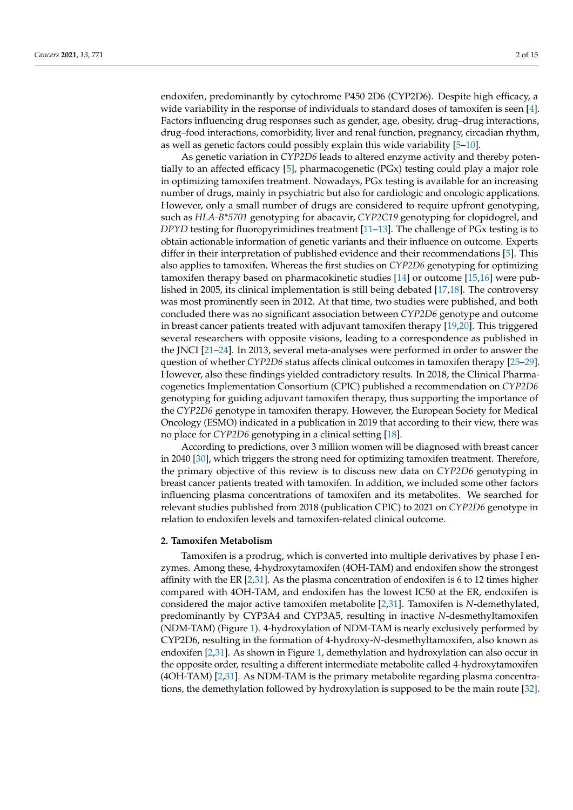endoxifen, predominantly by cytochrome P450 2D6 (CYP2D6). Despite high efficacy, a wide variability in the response of individuals to standard doses of tamoxifen is seen [\[4\]](#page-10-3). Factors influencing drug responses such as gender, age, obesity, drug–drug interactions, drug–food interactions, comorbidity, liver and renal function, pregnancy, circadian rhythm, as well as genetic factors could possibly explain this wide variability [\[5–](#page-10-4)[10\]](#page-10-5).

As genetic variation in *CYP2D6* leads to altered enzyme activity and thereby potentially to an affected efficacy [\[5\]](#page-10-4), pharmacogenetic (PGx) testing could play a major role in optimizing tamoxifen treatment. Nowadays, PGx testing is available for an increasing number of drugs, mainly in psychiatric but also for cardiologic and oncologic applications. However, only a small number of drugs are considered to require upfront genotyping, such as *HLA-B\*5701* genotyping for abacavir, *CYP2C19* genotyping for clopidogrel, and *DPYD* testing for fluoropyrimidines treatment [\[11–](#page-10-6)[13\]](#page-10-7). The challenge of PGx testing is to obtain actionable information of genetic variants and their influence on outcome. Experts differ in their interpretation of published evidence and their recommendations [\[5\]](#page-10-4). This also applies to tamoxifen. Whereas the first studies on *CYP2D6* genotyping for optimizing tamoxifen therapy based on pharmacokinetic studies [\[14\]](#page-10-8) or outcome [\[15,](#page-10-9)[16\]](#page-10-10) were published in 2005, its clinical implementation is still being debated [\[17](#page-10-11)[,18\]](#page-10-12). The controversy was most prominently seen in 2012. At that time, two studies were published, and both concluded there was no significant association between *CYP2D6* genotype and outcome in breast cancer patients treated with adjuvant tamoxifen therapy [\[19](#page-10-13)[,20\]](#page-10-14). This triggered several researchers with opposite visions, leading to a correspondence as published in the JNCI [\[21](#page-10-15)[–24\]](#page-11-0). In 2013, several meta-analyses were performed in order to answer the question of whether *CYP2D6* status affects clinical outcomes in tamoxifen therapy [\[25](#page-11-1)[–29\]](#page-11-2). However, also these findings yielded contradictory results. In 2018, the Clinical Pharmacogenetics Implementation Consortium (CPIC) published a recommendation on *CYP2D6* genotyping for guiding adjuvant tamoxifen therapy, thus supporting the importance of the *CYP2D6* genotype in tamoxifen therapy. However, the European Society for Medical Oncology (ESMO) indicated in a publication in 2019 that according to their view, there was no place for *CYP2D6* genotyping in a clinical setting [\[18\]](#page-10-12).

According to predictions, over 3 million women will be diagnosed with breast cancer in 2040 [\[30\]](#page-11-3), which triggers the strong need for optimizing tamoxifen treatment. Therefore, the primary objective of this review is to discuss new data on *CYP2D6* genotyping in breast cancer patients treated with tamoxifen. In addition, we included some other factors influencing plasma concentrations of tamoxifen and its metabolites. We searched for relevant studies published from 2018 (publication CPIC) to 2021 on *CYP2D6* genotype in relation to endoxifen levels and tamoxifen-related clinical outcome.

## **2. Tamoxifen Metabolism**

Tamoxifen is a prodrug, which is converted into multiple derivatives by phase I enzymes. Among these, 4-hydroxytamoxifen (4OH-TAM) and endoxifen show the strongest affinity with the ER  $[2,31]$  $[2,31]$ . As the plasma concentration of endoxifen is 6 to 12 times higher compared with 4OH-TAM, and endoxifen has the lowest IC50 at the ER, endoxifen is considered the major active tamoxifen metabolite [\[2](#page-10-1)[,31\]](#page-11-4). Tamoxifen is *N*-demethylated, predominantly by CYP3A4 and CYP3A5, resulting in inactive *N*-desmethyltamoxifen (NDM-TAM) (Figure [1\)](#page-2-0). 4-hydroxylation of NDM-TAM is nearly exclusively performed by CYP2D6, resulting in the formation of 4-hydroxy-*N*-desmethyltamoxifen, also known as endoxifen [\[2,](#page-10-1)[31\]](#page-11-4). As shown in Figure [1,](#page-2-0) demethylation and hydroxylation can also occur in the opposite order, resulting a different intermediate metabolite called 4-hydroxytamoxifen (4OH-TAM) [\[2](#page-10-1)[,31\]](#page-11-4). As NDM-TAM is the primary metabolite regarding plasma concentrations, the demethylation followed by hydroxylation is supposed to be the main route [\[32\]](#page-11-5).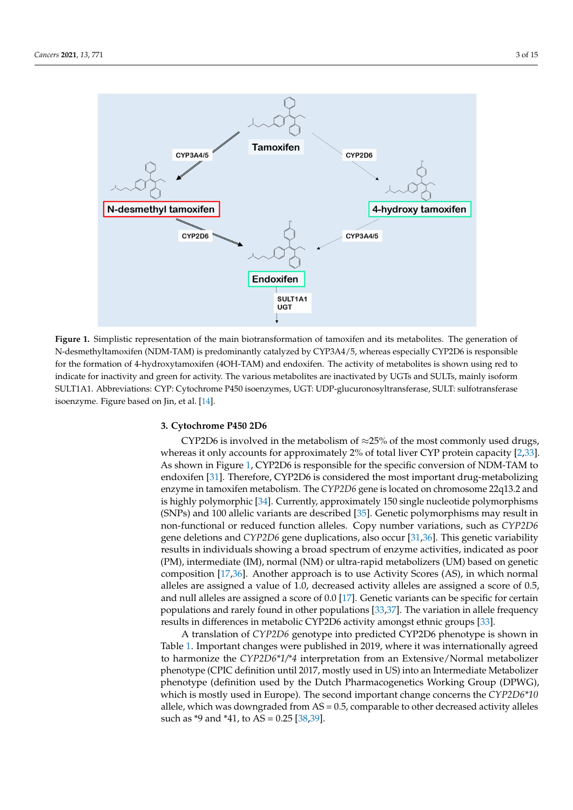<span id="page-2-0"></span>

**Figure 1.** Simplistic representation of the main biotransformation of tamoxifen and its metabolites. The generation of N-desmethyltamoxifen (NDM-TAM) is predominantly catalyzed by CYP3A4/5, whereas especially CYP2D6 is responsible for the formation of 4-hydroxytamoxifen (4OH-TAM) and endoxifen. The activity of metabolites is shown using red to indicate for inactivity and green for activity. The various metabolites are inactivated by UGTs and SULTs, mainly isoform SULT1A1. Abbreviations: CYP: Cytochrome P450 isoenzymes, UGT: UDP-glucuronosyltransferase, SULT: sulfotransferase isoenzyme. Figure based on Jin, et al. [\[14\]](#page-10-8).

## **3. Cytochrome P450 2D6**

CYP2D6 is involved in the metabolism of  $\approx$ 25% of the most commonly used drugs, whereas it only accounts for approximately 2% of total liver CYP protein capacity [\[2,](#page-10-1)[33\]](#page-11-6). As shown in Figure [1,](#page-2-0) CYP2D6 is responsible for the specific conversion of NDM-TAM to endoxifen [\[31\]](#page-11-4). Therefore, CYP2D6 is considered the most important drug-metabolizing enzyme in tamoxifen metabolism. The *CYP2D6* gene is located on chromosome 22q13.2 and is highly polymorphic [\[34\]](#page-11-7). Currently, approximately 150 single nucleotide polymorphisms (SNPs) and 100 allelic variants are described [\[35\]](#page-11-8). Genetic polymorphisms may result in non-functional or reduced function alleles. Copy number variations, such as *CYP2D6* gene deletions and *CYP2D6* gene duplications, also occur [\[31](#page-11-4)[,36\]](#page-11-9). This genetic variability results in individuals showing a broad spectrum of enzyme activities, indicated as poor (PM), intermediate (IM), normal (NM) or ultra-rapid metabolizers (UM) based on genetic composition [\[17](#page-10-11)[,36\]](#page-11-9). Another approach is to use Activity Scores (AS), in which normal alleles are assigned a value of 1.0, decreased activity alleles are assigned a score of 0.5, and null alleles are assigned a score of 0.0 [\[17\]](#page-10-11). Genetic variants can be specific for certain populations and rarely found in other populations [\[33](#page-11-6)[,37\]](#page-11-10). The variation in allele frequency results in differences in metabolic CYP2D6 activity amongst ethnic groups [\[33\]](#page-11-6).

A translation of *CYP2D6* genotype into predicted CYP2D6 phenotype is shown in Table [1.](#page-3-0) Important changes were published in 2019, where it was internationally agreed to harmonize the *CYP2D6\*1/\*4* interpretation from an Extensive/Normal metabolizer phenotype (CPIC definition until 2017, mostly used in US) into an Intermediate Metabolizer phenotype (definition used by the Dutch Pharmacogenetics Working Group (DPWG), which is mostly used in Europe). The second important change concerns the *CYP2D6\*10* allele, which was downgraded from AS = 0.5, comparable to other decreased activity alleles such as \*9 and \*41, to AS = 0.25 [\[38](#page-11-11)[,39\]](#page-11-12).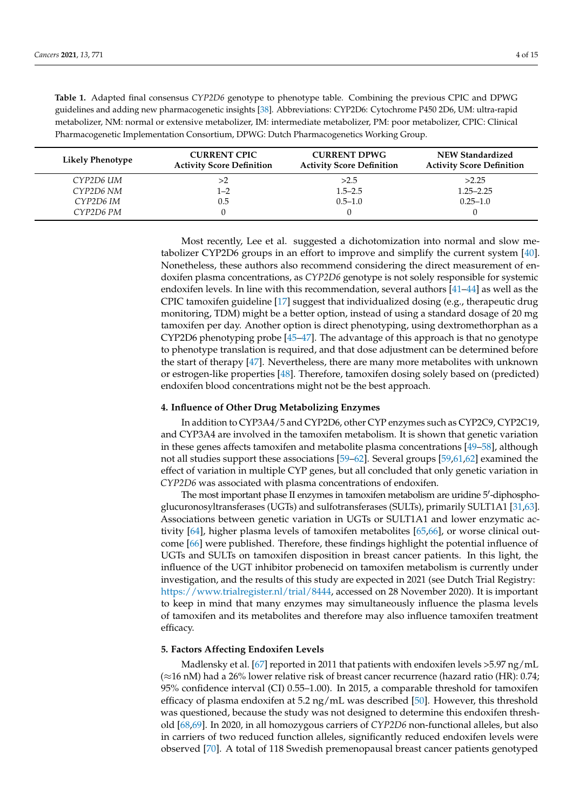<span id="page-3-0"></span>

| Table 1. Adapted final consensus CYP2D6 genotype to phenotype table. Combining the previous CPIC and DPWG            |
|----------------------------------------------------------------------------------------------------------------------|
| guidelines and adding new pharmacogenetic insights [38]. Abbreviations: CYP2D6: Cytochrome P450 2D6, UM: ultra-rapid |
| metabolizer, NM: normal or extensive metabolizer, IM: intermediate metabolizer, PM: poor metabolizer, CPIC: Clinical |
| Pharmacogenetic Implementation Consortium, DPWG: Dutch Pharmacogenetics Working Group.                               |

| <b>Likely Phenotype</b> | <b>CURRENT CPIC</b><br><b>Activity Score Definition</b> | <b>CURRENT DPWG</b><br><b>Activity Score Definition</b> | <b>NEW Standardized</b><br><b>Activity Score Definition</b> |
|-------------------------|---------------------------------------------------------|---------------------------------------------------------|-------------------------------------------------------------|
| CYP2D6 UM               | >2                                                      | >2.5                                                    | >2.25                                                       |
| CYP2D6 NM               | $1 - 2$                                                 | $1.5 - 2.5$                                             | $1.25 - 2.25$                                               |
| CYP2D6 IM               | $0.5\,$                                                 | $0.5 - 1.0$                                             | $0.25 - 1.0$                                                |
| CYP2D6 PM               |                                                         |                                                         |                                                             |

Most recently, Lee et al. suggested a dichotomization into normal and slow metabolizer CYP2D6 groups in an effort to improve and simplify the current system [\[40\]](#page-11-13). Nonetheless, these authors also recommend considering the direct measurement of endoxifen plasma concentrations, as *CYP2D6* genotype is not solely responsible for systemic endoxifen levels. In line with this recommendation, several authors [\[41–](#page-11-14)[44\]](#page-11-15) as well as the CPIC tamoxifen guideline [\[17\]](#page-10-11) suggest that individualized dosing (e.g., therapeutic drug monitoring, TDM) might be a better option, instead of using a standard dosage of 20 mg tamoxifen per day. Another option is direct phenotyping, using dextromethorphan as a CYP2D6 phenotyping probe [\[45](#page-11-16)[–47\]](#page-11-17). The advantage of this approach is that no genotype to phenotype translation is required, and that dose adjustment can be determined before the start of therapy [\[47\]](#page-11-17). Nevertheless, there are many more metabolites with unknown or estrogen-like properties [\[48\]](#page-12-0). Therefore, tamoxifen dosing solely based on (predicted) endoxifen blood concentrations might not be the best approach.

# **4. Influence of Other Drug Metabolizing Enzymes**

In addition to CYP3A4/5 and CYP2D6, other CYP enzymes such as CYP2C9, CYP2C19, and CYP3A4 are involved in the tamoxifen metabolism. It is shown that genetic variation in these genes affects tamoxifen and metabolite plasma concentrations [\[49–](#page-12-1)[58\]](#page-12-2), although not all studies support these associations [\[59](#page-12-3)[–62\]](#page-12-4). Several groups [\[59](#page-12-3)[,61,](#page-12-5)[62\]](#page-12-4) examined the effect of variation in multiple CYP genes, but all concluded that only genetic variation in *CYP2D6* was associated with plasma concentrations of endoxifen.

The most important phase II enzymes in tamoxifen metabolism are uridine 5'-diphosphoglucuronosyltransferases (UGTs) and sulfotransferases (SULTs), primarily SULT1A1 [\[31](#page-11-4)[,63\]](#page-12-6). Associations between genetic variation in UGTs or SULT1A1 and lower enzymatic activity [\[64\]](#page-12-7), higher plasma levels of tamoxifen metabolites [\[65](#page-12-8)[,66\]](#page-12-9), or worse clinical outcome [\[66\]](#page-12-9) were published. Therefore, these findings highlight the potential influence of UGTs and SULTs on tamoxifen disposition in breast cancer patients. In this light, the influence of the UGT inhibitor probenecid on tamoxifen metabolism is currently under investigation, and the results of this study are expected in 2021 (see Dutch Trial Registry: [https://www.trialregister.nl/trial/8444,](https://www.trialregister.nl/trial/8444) accessed on 28 November 2020). It is important to keep in mind that many enzymes may simultaneously influence the plasma levels of tamoxifen and its metabolites and therefore may also influence tamoxifen treatment efficacy.

## **5. Factors Affecting Endoxifen Levels**

Madlensky et al. [\[67\]](#page-12-10) reported in 2011 that patients with endoxifen levels >5.97 ng/mL (≈16 nM) had a 26% lower relative risk of breast cancer recurrence (hazard ratio (HR): 0.74; 95% confidence interval (CI) 0.55–1.00). In 2015, a comparable threshold for tamoxifen efficacy of plasma endoxifen at 5.2 ng/mL was described [\[50\]](#page-12-11). However, this threshold was questioned, because the study was not designed to determine this endoxifen threshold [\[68](#page-12-12)[,69\]](#page-13-0). In 2020, in all homozygous carriers of *CYP2D6* non-functional alleles, but also in carriers of two reduced function alleles, significantly reduced endoxifen levels were observed [\[70\]](#page-13-1). A total of 118 Swedish premenopausal breast cancer patients genotyped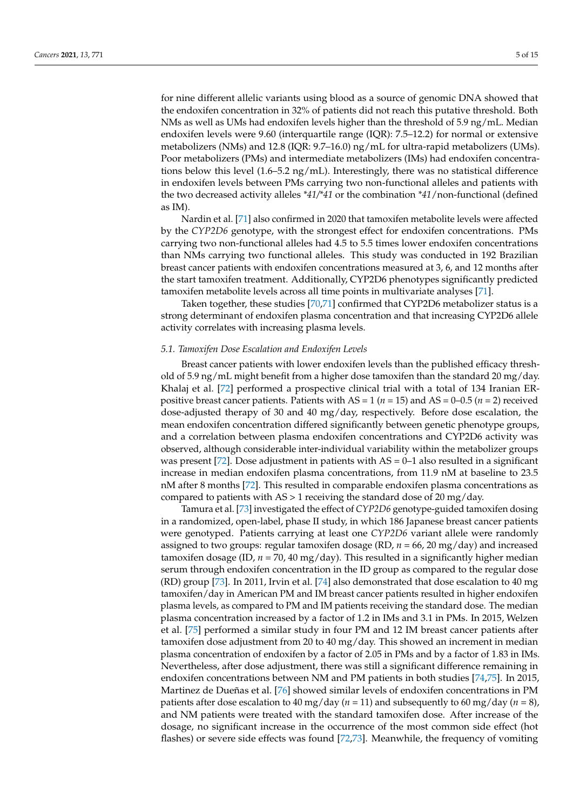for nine different allelic variants using blood as a source of genomic DNA showed that the endoxifen concentration in 32% of patients did not reach this putative threshold. Both NMs as well as UMs had endoxifen levels higher than the threshold of 5.9 ng/mL. Median endoxifen levels were 9.60 (interquartile range (IQR): 7.5–12.2) for normal or extensive metabolizers (NMs) and 12.8 (IQR: 9.7–16.0) ng/mL for ultra-rapid metabolizers (UMs). Poor metabolizers (PMs) and intermediate metabolizers (IMs) had endoxifen concentrations below this level (1.6–5.2 ng/mL). Interestingly, there was no statistical difference in endoxifen levels between PMs carrying two non-functional alleles and patients with the two decreased activity alleles *\*41/\*41* or the combination *\*41*/non-functional (defined as IM).

Nardin et al. [\[71\]](#page-13-2) also confirmed in 2020 that tamoxifen metabolite levels were affected by the *CYP2D6* genotype, with the strongest effect for endoxifen concentrations. PMs carrying two non-functional alleles had 4.5 to 5.5 times lower endoxifen concentrations than NMs carrying two functional alleles. This study was conducted in 192 Brazilian breast cancer patients with endoxifen concentrations measured at 3, 6, and 12 months after the start tamoxifen treatment. Additionally, CYP2D6 phenotypes significantly predicted tamoxifen metabolite levels across all time points in multivariate analyses [\[71\]](#page-13-2).

Taken together, these studies [\[70](#page-13-1)[,71\]](#page-13-2) confirmed that CYP2D6 metabolizer status is a strong determinant of endoxifen plasma concentration and that increasing CYP2D6 allele activity correlates with increasing plasma levels.

# *5.1. Tamoxifen Dose Escalation and Endoxifen Levels*

Breast cancer patients with lower endoxifen levels than the published efficacy threshold of 5.9 ng/mL might benefit from a higher dose tamoxifen than the standard 20 mg/day. Khalaj et al. [\[72\]](#page-13-3) performed a prospective clinical trial with a total of 134 Iranian ERpositive breast cancer patients. Patients with AS = 1 (*n* = 15) and AS = 0–0.5 (*n* = 2) received dose-adjusted therapy of 30 and 40 mg/day, respectively. Before dose escalation, the mean endoxifen concentration differed significantly between genetic phenotype groups, and a correlation between plasma endoxifen concentrations and CYP2D6 activity was observed, although considerable inter-individual variability within the metabolizer groups was present [\[72\]](#page-13-3). Dose adjustment in patients with  $AS = 0-1$  also resulted in a significant increase in median endoxifen plasma concentrations, from 11.9 nM at baseline to 23.5 nM after 8 months [\[72\]](#page-13-3). This resulted in comparable endoxifen plasma concentrations as compared to patients with AS > 1 receiving the standard dose of 20 mg/day.

Tamura et al. [\[73\]](#page-13-4) investigated the effect of *CYP2D6* genotype-guided tamoxifen dosing in a randomized, open-label, phase II study, in which 186 Japanese breast cancer patients were genotyped. Patients carrying at least one *CYP2D6* variant allele were randomly assigned to two groups: regular tamoxifen dosage (RD, *n* = 66, 20 mg/day) and increased tamoxifen dosage (ID,  $n = 70$ , 40 mg/day). This resulted in a significantly higher median serum through endoxifen concentration in the ID group as compared to the regular dose (RD) group [\[73\]](#page-13-4). In 2011, Irvin et al. [\[74\]](#page-13-5) also demonstrated that dose escalation to 40 mg tamoxifen/day in American PM and IM breast cancer patients resulted in higher endoxifen plasma levels, as compared to PM and IM patients receiving the standard dose. The median plasma concentration increased by a factor of 1.2 in IMs and 3.1 in PMs. In 2015, Welzen et al. [\[75\]](#page-13-6) performed a similar study in four PM and 12 IM breast cancer patients after tamoxifen dose adjustment from 20 to 40 mg/day. This showed an increment in median plasma concentration of endoxifen by a factor of 2.05 in PMs and by a factor of 1.83 in IMs. Nevertheless, after dose adjustment, there was still a significant difference remaining in endoxifen concentrations between NM and PM patients in both studies [\[74](#page-13-5)[,75\]](#page-13-6). In 2015, Martinez de Dueñas et al. [\[76\]](#page-13-7) showed similar levels of endoxifen concentrations in PM patients after dose escalation to 40 mg/day ( $n = 11$ ) and subsequently to 60 mg/day ( $n = 8$ ), and NM patients were treated with the standard tamoxifen dose. After increase of the dosage, no significant increase in the occurrence of the most common side effect (hot flashes) or severe side effects was found [\[72](#page-13-3)[,73\]](#page-13-4). Meanwhile, the frequency of vomiting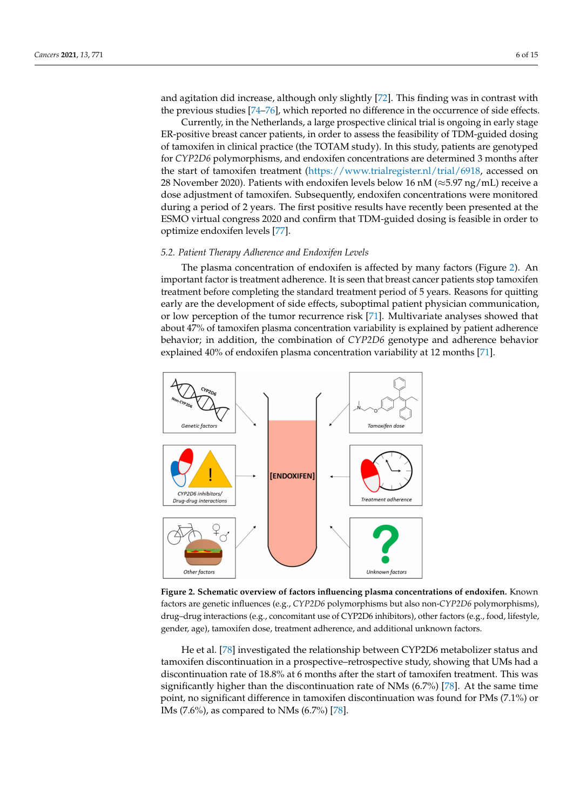and agitation did increase, although only slightly [\[72\]](#page-13-3). This finding was in contrast with the previous studies [\[74–](#page-13-5)[76\]](#page-13-7), which reported no difference in the occurrence of side effects.

Currently, in the Netherlands, a large prospective clinical trial is ongoing in early stage ER-positive breast cancer patients, in order to assess the feasibility of TDM-guided dosing of tamoxifen in clinical practice (the TOTAM study). In this study, patients are genotyped for *CYP2D6* polymorphisms, and endoxifen concentrations are determined 3 months after the start of tamoxifen treatment [\(https://www.trialregister.nl/trial/6918,](https://www.trialregister.nl/trial/6918) accessed on 28 November 2020). Patients with endoxifen levels below 16 nM ( $\approx$ 5.97 ng/mL) receive a dose adjustment of tamoxifen. Subsequently, endoxifen concentrations were monitored during a period of 2 years. The first positive results have recently been presented at the ESMO virtual congress 2020 and confirm that TDM-guided dosing is feasible in order to optimize endoxifen levels [\[77\]](#page-13-8).

#### *5.2. Patient Therapy Adherence and Endoxifen Levels*

The plasma concentration of endoxifen is affected by many factors (Figure [2\)](#page-5-0). An important factor is treatment adherence. It is seen that breast cancer patients stop tamoxifen treatment before completing the standard treatment period of 5 years. Reasons for quitting early are the development of side effects, suboptimal patient physician communication, or low perception of the tumor recurrence risk [\[71\]](#page-13-2). Multivariate analyses showed that about 47% of tamoxifen plasma concentration variability is explained by patient adherence behavior; in addition, the combination of *CYP2D6* genotype and adherence behavior explained 40% of endoxifen plasma concentration variability at 12 months [\[71\]](#page-13-2).

<span id="page-5-0"></span>

**Figure 2. Schematic overview of factors influencing plasma concentrations of endoxifen.** Known factors are genetic influences (e.g., *CYP2D6* polymorphisms but also non-*CYP2D6* polymorphisms), drug–drug interactions (e.g., concomitant use of CYP2D6 inhibitors), other factors (e.g., food, lifestyle, gender, age), tamoxifen dose, treatment adherence, and additional unknown factors.

He et al. [\[78\]](#page-13-9) investigated the relationship between CYP2D6 metabolizer status and tamoxifen discontinuation in a prospective–retrospective study, showing that UMs had a discontinuation rate of 18.8% at 6 months after the start of tamoxifen treatment. This was significantly higher than the discontinuation rate of NMs (6.7%) [\[78\]](#page-13-9). At the same time point, no significant difference in tamoxifen discontinuation was found for PMs (7.1%) or IMs (7.6%), as compared to NMs (6.7%) [\[78\]](#page-13-9).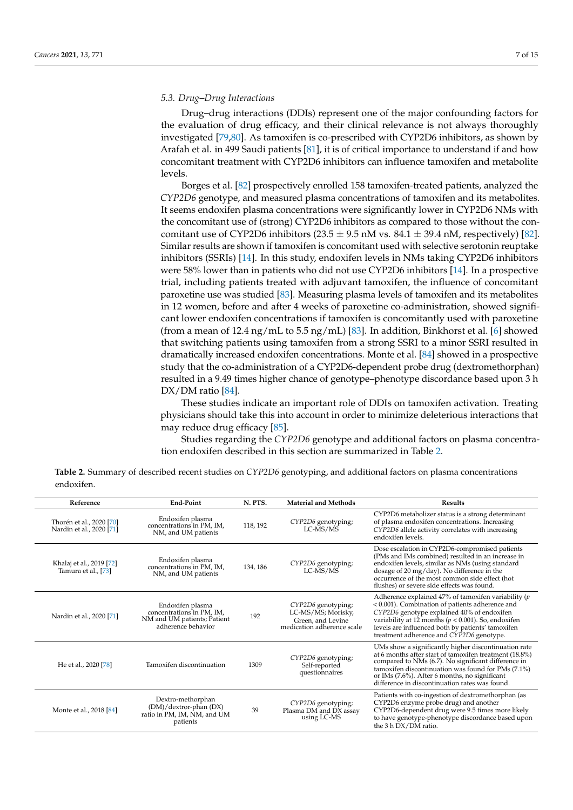## *5.3. Drug–Drug Interactions*

Drug–drug interactions (DDIs) represent one of the major confounding factors for the evaluation of drug efficacy, and their clinical relevance is not always thoroughly investigated [\[79,](#page-13-10)[80\]](#page-13-11). As tamoxifen is co-prescribed with CYP2D6 inhibitors, as shown by Arafah et al. in 499 Saudi patients [\[81\]](#page-13-12), it is of critical importance to understand if and how concomitant treatment with CYP2D6 inhibitors can influence tamoxifen and metabolite levels.

Borges et al. [\[82\]](#page-13-13) prospectively enrolled 158 tamoxifen-treated patients, analyzed the *CYP2D6* genotype, and measured plasma concentrations of tamoxifen and its metabolites. It seems endoxifen plasma concentrations were significantly lower in CYP2D6 NMs with the concomitant use of (strong) CYP2D6 inhibitors as compared to those without the concomitant use of CYP2D6 inhibitors  $(23.5 \pm 9.5 \text{ nM vs. } 84.1 \pm 39.4 \text{ nM}$ , respectively) [\[82\]](#page-13-13). Similar results are shown if tamoxifen is concomitant used with selective serotonin reuptake inhibitors (SSRIs) [\[14\]](#page-10-8). In this study, endoxifen levels in NMs taking CYP2D6 inhibitors were 58% lower than in patients who did not use CYP2D6 inhibitors [\[14\]](#page-10-8). In a prospective trial, including patients treated with adjuvant tamoxifen, the influence of concomitant paroxetine use was studied [\[83\]](#page-13-14). Measuring plasma levels of tamoxifen and its metabolites in 12 women, before and after 4 weeks of paroxetine co-administration, showed significant lower endoxifen concentrations if tamoxifen is concomitantly used with paroxetine (from a mean of 12.4 ng/mL to 5.5 ng/mL) [\[83\]](#page-13-14). In addition, Binkhorst et al. [\[6\]](#page-10-16) showed that switching patients using tamoxifen from a strong SSRI to a minor SSRI resulted in dramatically increased endoxifen concentrations. Monte et al. [\[84\]](#page-13-15) showed in a prospective study that the co-administration of a CYP2D6-dependent probe drug (dextromethorphan) resulted in a 9.49 times higher chance of genotype–phenotype discordance based upon 3 h DX/DM ratio [\[84\]](#page-13-15).

These studies indicate an important role of DDIs on tamoxifen activation. Treating physicians should take this into account in order to minimize deleterious interactions that may reduce drug efficacy [\[85\]](#page-13-16).

Studies regarding the *CYP2D6* genotype and additional factors on plasma concentration endoxifen described in this section are summarized in Table [2.](#page-6-0)

<span id="page-6-0"></span>

| Table 2. Summary of described recent studies on CYP2D6 genotyping, and additional factors on plasma concentrations |  |  |
|--------------------------------------------------------------------------------------------------------------------|--|--|
| endoxifen.                                                                                                         |  |  |

| Reference                                            | End-Point                                                                                          | N. PTS.  | <b>Material and Methods</b>                                                                 | <b>Results</b>                                                                                                                                                                                                                                                                                                                 |
|------------------------------------------------------|----------------------------------------------------------------------------------------------------|----------|---------------------------------------------------------------------------------------------|--------------------------------------------------------------------------------------------------------------------------------------------------------------------------------------------------------------------------------------------------------------------------------------------------------------------------------|
| Thorén et al., 2020 [70]<br>Nardin et al., 2020 [71] | Endoxifen plasma<br>concentrations in PM, IM,<br>NM, and UM patients                               | 118, 192 | CYP2D6 genotyping;<br>LC-MS/MS                                                              | CYP2D6 metabolizer status is a strong determinant<br>of plasma endoxifen concentrations. Increasing<br>CYP2D6 allele activity correlates with increasing<br>endoxifen levels.                                                                                                                                                  |
| Khalaj et al., 2019 [72]<br>Tamura et al., [73]      | Endoxifen plasma<br>concentrations in PM, IM,<br>NM, and UM patients                               | 134, 186 | CYP2D6 genotyping;<br>LC-MS/MS                                                              | Dose escalation in CYP2D6-compromised patients<br>(PMs and IMs combined) resulted in an increase in<br>endoxifen levels, similar as NMs (using standard<br>dosage of 20 mg/day). No difference in the<br>occurrence of the most common side effect (hot<br>flushes) or severe side effects was found.                          |
| Nardin et al., 2020 [71]                             | Endoxifen plasma<br>concentrations in PM, IM,<br>NM and UM patients; Patient<br>adherence behavior | 192      | CYP2D6 genotyping;<br>LC-MS/MS; Morisky,<br>Green, and Levine<br>medication adherence scale | Adherence explained 47% of tamoxifen variability (p<br>< 0.001). Combination of patients adherence and<br>CYP2D6 genotype explained 40% of endoxifen<br>variability at 12 months ( $p < 0.001$ ). So, endoxifen<br>levels are influenced both by patients' tamoxifen<br>treatment adherence and CYP2D6 genotype.               |
| He et al., 2020 [78]                                 | Tamoxifen discontinuation                                                                          | 1309     | CYP2D6 genotyping;<br>Self-reported<br>questionnaires                                       | UMs show a significantly higher discontinuation rate<br>at 6 months after start of tamoxifen treatment (18.8%)<br>compared to NMs (6.7). No significant difference in<br>tamoxifen discontinuation was found for PMs (7.1%)<br>or IMs (7.6%). After 6 months, no significant<br>difference in discontinuation rates was found. |
| Monte et al., 2018 [84]                              | Dextro-methorphan<br>(DM)/dextror-phan (DX)<br>ratio in PM, IM, NM, and UM<br>patients             | 39       | CYP2D6 genotyping;<br>Plasma DM and DX assay<br>using LC-MS                                 | Patients with co-ingestion of dextromethorphan (as<br>CYP2D6 enzyme probe drug) and another<br>CYP2D6-dependent drug were 9.5 times more likely<br>to have genotype-phenotype discordance based upon<br>the 3 h DX/DM ratio.                                                                                                   |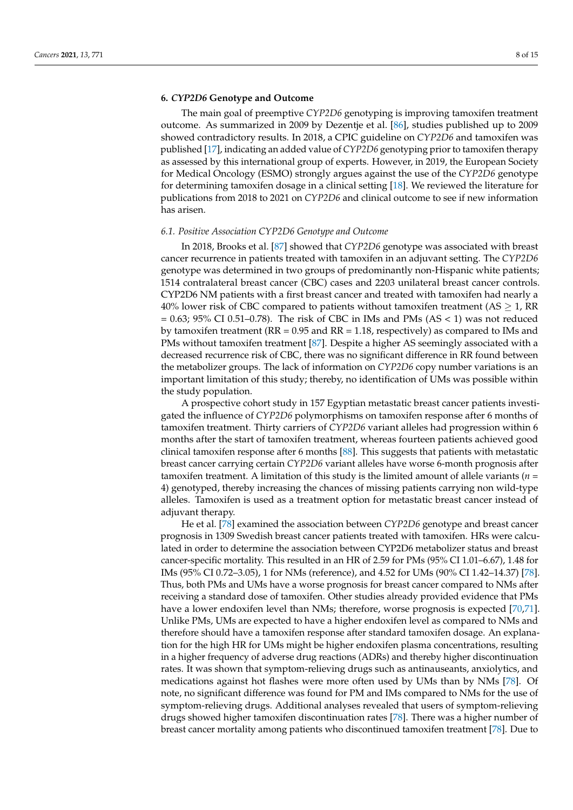## **6.** *CYP2D6* **Genotype and Outcome**

The main goal of preemptive *CYP2D6* genotyping is improving tamoxifen treatment outcome. As summarized in 2009 by Dezentje et al. [\[86\]](#page-13-17), studies published up to 2009 showed contradictory results. In 2018, a CPIC guideline on *CYP2D6* and tamoxifen was published [\[17\]](#page-10-11), indicating an added value of *CYP2D6* genotyping prior to tamoxifen therapy as assessed by this international group of experts. However, in 2019, the European Society for Medical Oncology (ESMO) strongly argues against the use of the *CYP2D6* genotype for determining tamoxifen dosage in a clinical setting [\[18\]](#page-10-12). We reviewed the literature for publications from 2018 to 2021 on *CYP2D6* and clinical outcome to see if new information has arisen.

#### *6.1. Positive Association CYP2D6 Genotype and Outcome*

In 2018, Brooks et al. [\[87\]](#page-13-18) showed that *CYP2D6* genotype was associated with breast cancer recurrence in patients treated with tamoxifen in an adjuvant setting. The *CYP2D6* genotype was determined in two groups of predominantly non-Hispanic white patients; 1514 contralateral breast cancer (CBC) cases and 2203 unilateral breast cancer controls. CYP2D6 NM patients with a first breast cancer and treated with tamoxifen had nearly a 40% lower risk of CBC compared to patients without tamoxifen treatment (AS  $\geq$  1, RR  $= 0.63$ ; 95% CI 0.51–0.78). The risk of CBC in IMs and PMs (AS < 1) was not reduced by tamoxifen treatment ( $RR = 0.95$  and  $RR = 1.18$ , respectively) as compared to IMs and PMs without tamoxifen treatment [\[87\]](#page-13-18). Despite a higher AS seemingly associated with a decreased recurrence risk of CBC, there was no significant difference in RR found between the metabolizer groups. The lack of information on *CYP2D6* copy number variations is an important limitation of this study; thereby, no identification of UMs was possible within the study population.

A prospective cohort study in 157 Egyptian metastatic breast cancer patients investigated the influence of *CYP2D6* polymorphisms on tamoxifen response after 6 months of tamoxifen treatment. Thirty carriers of *CYP2D6* variant alleles had progression within 6 months after the start of tamoxifen treatment, whereas fourteen patients achieved good clinical tamoxifen response after 6 months [\[88\]](#page-13-19). This suggests that patients with metastatic breast cancer carrying certain *CYP2D6* variant alleles have worse 6-month prognosis after tamoxifen treatment. A limitation of this study is the limited amount of allele variants (*n* = 4) genotyped, thereby increasing the chances of missing patients carrying non wild-type alleles. Tamoxifen is used as a treatment option for metastatic breast cancer instead of adjuvant therapy.

He et al. [\[78\]](#page-13-9) examined the association between *CYP2D6* genotype and breast cancer prognosis in 1309 Swedish breast cancer patients treated with tamoxifen. HRs were calculated in order to determine the association between CYP2D6 metabolizer status and breast cancer-specific mortality. This resulted in an HR of 2.59 for PMs (95% CI 1.01–6.67), 1.48 for IMs (95% CI 0.72–3.05), 1 for NMs (reference), and 4.52 for UMs (90% CI 1.42–14.37) [\[78\]](#page-13-9). Thus, both PMs and UMs have a worse prognosis for breast cancer compared to NMs after receiving a standard dose of tamoxifen. Other studies already provided evidence that PMs have a lower endoxifen level than NMs; therefore, worse prognosis is expected [\[70,](#page-13-1)[71\]](#page-13-2). Unlike PMs, UMs are expected to have a higher endoxifen level as compared to NMs and therefore should have a tamoxifen response after standard tamoxifen dosage. An explanation for the high HR for UMs might be higher endoxifen plasma concentrations, resulting in a higher frequency of adverse drug reactions (ADRs) and thereby higher discontinuation rates. It was shown that symptom-relieving drugs such as antinauseants, anxiolytics, and medications against hot flashes were more often used by UMs than by NMs [\[78\]](#page-13-9). Of note, no significant difference was found for PM and IMs compared to NMs for the use of symptom-relieving drugs. Additional analyses revealed that users of symptom-relieving drugs showed higher tamoxifen discontinuation rates [\[78\]](#page-13-9). There was a higher number of breast cancer mortality among patients who discontinued tamoxifen treatment [\[78\]](#page-13-9). Due to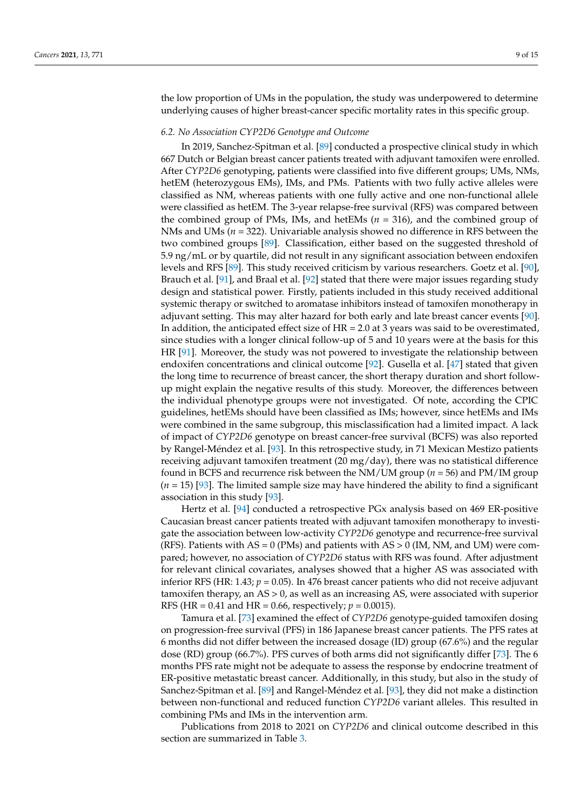the low proportion of UMs in the population, the study was underpowered to determine underlying causes of higher breast-cancer specific mortality rates in this specific group.

#### *6.2. No Association CYP2D6 Genotype and Outcome*

In 2019, Sanchez-Spitman et al. [\[89\]](#page-13-20) conducted a prospective clinical study in which 667 Dutch or Belgian breast cancer patients treated with adjuvant tamoxifen were enrolled. After *CYP2D6* genotyping, patients were classified into five different groups; UMs, NMs, hetEM (heterozygous EMs), IMs, and PMs. Patients with two fully active alleles were classified as NM, whereas patients with one fully active and one non-functional allele were classified as hetEM. The 3-year relapse-free survival (RFS) was compared between the combined group of PMs, IMs, and hetEMs (*n* = 316), and the combined group of NMs and UMs (*n* = 322). Univariable analysis showed no difference in RFS between the two combined groups [\[89\]](#page-13-20). Classification, either based on the suggested threshold of 5.9 ng/mL or by quartile, did not result in any significant association between endoxifen levels and RFS [\[89\]](#page-13-20). This study received criticism by various researchers. Goetz et al. [\[90\]](#page-13-21), Brauch et al. [\[91\]](#page-14-0), and Braal et al. [\[92\]](#page-14-1) stated that there were major issues regarding study design and statistical power. Firstly, patients included in this study received additional systemic therapy or switched to aromatase inhibitors instead of tamoxifen monotherapy in adjuvant setting. This may alter hazard for both early and late breast cancer events [\[90\]](#page-13-21). In addition, the anticipated effect size of  $HR = 2.0$  at 3 years was said to be overestimated, since studies with a longer clinical follow-up of 5 and 10 years were at the basis for this HR [\[91\]](#page-14-0). Moreover, the study was not powered to investigate the relationship between endoxifen concentrations and clinical outcome [\[92\]](#page-14-1). Gusella et al. [\[47\]](#page-11-17) stated that given the long time to recurrence of breast cancer, the short therapy duration and short followup might explain the negative results of this study. Moreover, the differences between the individual phenotype groups were not investigated. Of note, according the CPIC guidelines, hetEMs should have been classified as IMs; however, since hetEMs and IMs were combined in the same subgroup, this misclassification had a limited impact. A lack of impact of *CYP2D6* genotype on breast cancer-free survival (BCFS) was also reported by Rangel-Méndez et al. [\[93\]](#page-14-2). In this retrospective study, in 71 Mexican Mestizo patients receiving adjuvant tamoxifen treatment (20 mg/day), there was no statistical difference found in BCFS and recurrence risk between the NM/UM group (*n* = 56) and PM/IM group (*n* = 15) [\[93\]](#page-14-2). The limited sample size may have hindered the ability to find a significant association in this study [\[93\]](#page-14-2).

Hertz et al. [\[94\]](#page-14-3) conducted a retrospective PGx analysis based on 469 ER-positive Caucasian breast cancer patients treated with adjuvant tamoxifen monotherapy to investigate the association between low-activity *CYP2D6* genotype and recurrence-free survival (RFS). Patients with  $AS = 0$  (PMs) and patients with  $AS > 0$  (IM, NM, and UM) were compared; however, no association of *CYP2D6* status with RFS was found. After adjustment for relevant clinical covariates, analyses showed that a higher AS was associated with inferior RFS (HR: 1.43;  $p = 0.05$ ). In 476 breast cancer patients who did not receive adjuvant tamoxifen therapy, an AS > 0, as well as an increasing AS, were associated with superior RFS (HR = 0.41 and HR = 0.66, respectively;  $p = 0.0015$ ).

Tamura et al. [\[73\]](#page-13-4) examined the effect of *CYP2D6* genotype-guided tamoxifen dosing on progression-free survival (PFS) in 186 Japanese breast cancer patients. The PFS rates at 6 months did not differ between the increased dosage (ID) group (67.6%) and the regular dose (RD) group (66.7%). PFS curves of both arms did not significantly differ [\[73\]](#page-13-4). The 6 months PFS rate might not be adequate to assess the response by endocrine treatment of ER-positive metastatic breast cancer. Additionally, in this study, but also in the study of Sanchez-Spitman et al. [\[89\]](#page-13-20) and Rangel-Méndez et al. [\[93\]](#page-14-2), they did not make a distinction between non-functional and reduced function *CYP2D6* variant alleles. This resulted in combining PMs and IMs in the intervention arm.

Publications from 2018 to 2021 on *CYP2D6* and clinical outcome described in this section are summarized in Table [3.](#page-9-0)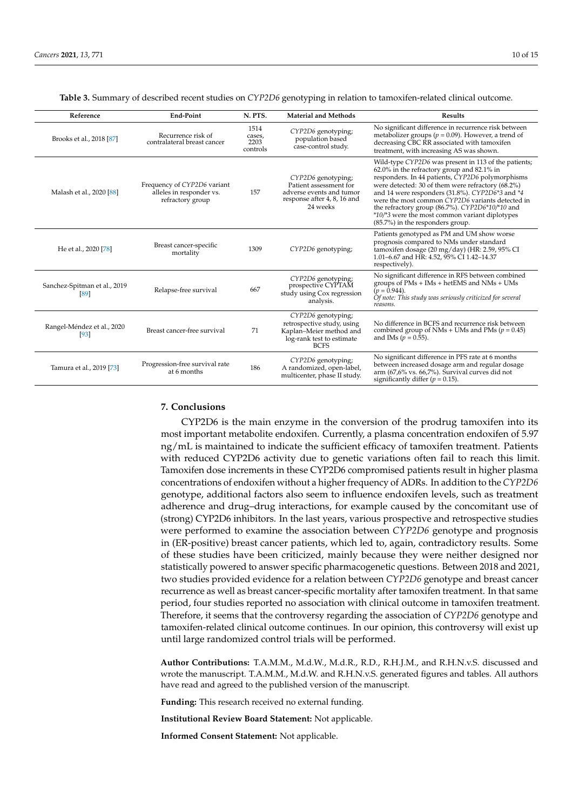<span id="page-9-0"></span>

| Reference                            | <b>End-Point</b>                                                            | N. PTS.                            | <b>Material and Methods</b>                                                                                             | <b>Results</b>                                                                                                                                                                                                                                                                                                                                                                                                                                              |
|--------------------------------------|-----------------------------------------------------------------------------|------------------------------------|-------------------------------------------------------------------------------------------------------------------------|-------------------------------------------------------------------------------------------------------------------------------------------------------------------------------------------------------------------------------------------------------------------------------------------------------------------------------------------------------------------------------------------------------------------------------------------------------------|
| Brooks et al., 2018 [87]             | Recurrence risk of<br>contralateral breast cancer                           | 1514<br>cases,<br>2203<br>controls | CYP2D6 genotyping;<br>population based<br>case-control study.                                                           | No significant difference in recurrence risk between<br>metabolizer groups ( $p = 0.09$ ). However, a trend of<br>decreasing CBC RR associated with tamoxifen<br>treatment, with increasing AS was shown.                                                                                                                                                                                                                                                   |
| Malash et al., 2020 [88]             | Frequency of CYP2D6 variant<br>alleles in responder vs.<br>refractory group | 157                                | CYP2D6 genotyping;<br>Patient assessment for<br>adverse events and tumor<br>response after 4, 8, 16 and<br>24 weeks     | Wild-type CYP2D6 was present in 113 of the patients;<br>62.0% in the refractory group and 82.1% in<br>responders. In 44 patients, CYP2D6 polymorphisms<br>were detected: 30 of them were refractory (68.2%)<br>and 14 were responders (31.8%). CYP2D6*3 and *4<br>were the most common CYP2D6 variants detected in<br>the refractory group (86.7%). CYP2D6*10/*10 and<br>*10/*3 were the most common variant diplotypes<br>(85.7%) in the responders group. |
| He et al., 2020 [78]                 | Breast cancer-specific<br>mortality                                         | 1309                               | CYP2D6 genotyping;                                                                                                      | Patients genotyped as PM and UM show worse<br>prognosis compared to NMs under standard<br>tamoxifen dosage (20 mg/day) (HR: 2.59, 95% CI<br>1.01-6.67 and HR: 4.52, 95% CI 1.42-14.37<br>respectively).                                                                                                                                                                                                                                                     |
| Sanchez-Spitman et al., 2019<br>[89] | Relapse-free survival                                                       | 667                                | CYP2D6 genotyping;<br>prospective CYPTAM<br>study using Cox regression<br>analysis.                                     | No significant difference in RFS between combined<br>groups of PMs + IMs + hetEMS and NMs + UMs<br>$(p = 0.944)$ .<br>Of note: This study was seriously criticized for several<br>reasons.                                                                                                                                                                                                                                                                  |
| Rangel-Méndez et al., 2020<br>$[93]$ | Breast cancer-free survival                                                 | 71                                 | CYP2D6 genotyping;<br>retrospective study, using<br>Kaplan-Meier method and<br>log-rank test to estimate<br><b>BCFS</b> | No difference in BCFS and recurrence risk between<br>combined group of NMs + UMs and PMs ( $p = 0.45$ )<br>and IMs ( $p = 0.55$ ).                                                                                                                                                                                                                                                                                                                          |
| Tamura et al., 2019 [73]             | Progression-free survival rate<br>at 6 months                               | 186                                | CYP2D6 genotyping;<br>A randomized, open-label,<br>multicenter, phase II study.                                         | No significant difference in PFS rate at 6 months<br>between increased dosage arm and regular dosage<br>arm (67,6% vs. 66,7%). Survival curves did not<br>significantly differ ( $p = 0.15$ ).                                                                                                                                                                                                                                                              |

**Table 3.** Summary of described recent studies on *CYP2D6* genotyping in relation to tamoxifen-related clinical outcome.

## **7. Conclusions**

CYP2D6 is the main enzyme in the conversion of the prodrug tamoxifen into its most important metabolite endoxifen. Currently, a plasma concentration endoxifen of 5.97 ng/mL is maintained to indicate the sufficient efficacy of tamoxifen treatment. Patients with reduced CYP2D6 activity due to genetic variations often fail to reach this limit. Tamoxifen dose increments in these CYP2D6 compromised patients result in higher plasma concentrations of endoxifen without a higher frequency of ADRs. In addition to the *CYP2D6* genotype, additional factors also seem to influence endoxifen levels, such as treatment adherence and drug–drug interactions, for example caused by the concomitant use of (strong) CYP2D6 inhibitors. In the last years, various prospective and retrospective studies were performed to examine the association between *CYP2D6* genotype and prognosis in (ER-positive) breast cancer patients, which led to, again, contradictory results. Some of these studies have been criticized, mainly because they were neither designed nor statistically powered to answer specific pharmacogenetic questions. Between 2018 and 2021, two studies provided evidence for a relation between *CYP2D6* genotype and breast cancer recurrence as well as breast cancer-specific mortality after tamoxifen treatment. In that same period, four studies reported no association with clinical outcome in tamoxifen treatment. Therefore, it seems that the controversy regarding the association of *CYP2D6* genotype and tamoxifen-related clinical outcome continues. In our opinion, this controversy will exist up until large randomized control trials will be performed.

**Author Contributions:** T.A.M.M., M.d.W., M.d.R., R.D., R.H.J.M., and R.H.N.v.S. discussed and wrote the manuscript. T.A.M.M., M.d.W. and R.H.N.v.S. generated figures and tables. All authors have read and agreed to the published version of the manuscript.

**Funding:** This research received no external funding.

**Institutional Review Board Statement:** Not applicable.

**Informed Consent Statement:** Not applicable.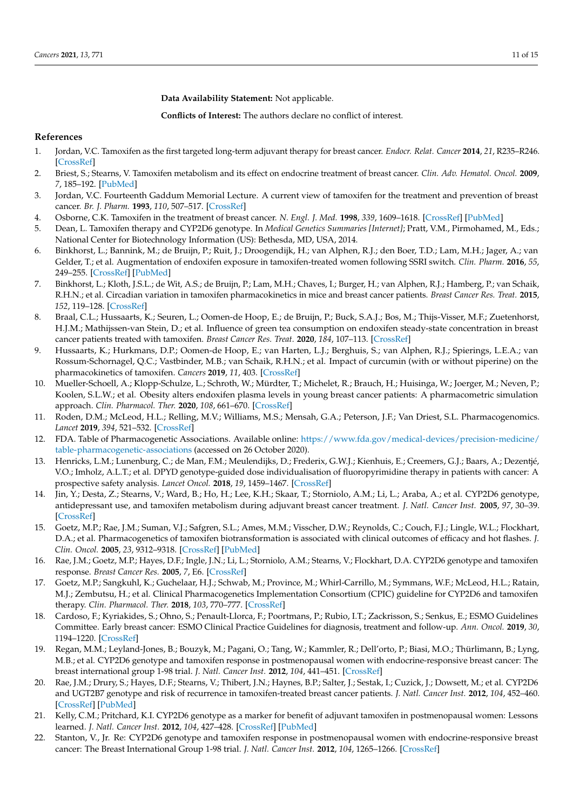**Data Availability Statement:** Not applicable.

**Conflicts of Interest:** The authors declare no conflict of interest.

### **References**

- <span id="page-10-0"></span>1. Jordan, V.C. Tamoxifen as the first targeted long-term adjuvant therapy for breast cancer. *Endocr. Relat. Cancer* **2014**, *21*, R235–R246. [\[CrossRef\]](http://doi.org/10.1530/ERC-14-0092)
- <span id="page-10-1"></span>2. Briest, S.; Stearns, V. Tamoxifen metabolism and its effect on endocrine treatment of breast cancer. *Clin. Adv. Hematol. Oncol.* **2009**, *7*, 185–192. [\[PubMed\]](http://www.ncbi.nlm.nih.gov/pubmed/19398943)
- <span id="page-10-2"></span>3. Jordan, V.C. Fourteenth Gaddum Memorial Lecture. A current view of tamoxifen for the treatment and prevention of breast cancer. *Br. J. Pharm.* **1993**, *110*, 507–517. [\[CrossRef\]](http://doi.org/10.1111/j.1476-5381.1993.tb13840.x)
- <span id="page-10-3"></span>4. Osborne, C.K. Tamoxifen in the treatment of breast cancer. *N. Engl. J. Med.* **1998**, *339*, 1609–1618. [\[CrossRef\]](http://doi.org/10.1056/NEJM199811263392207) [\[PubMed\]](http://www.ncbi.nlm.nih.gov/pubmed/9828250)
- <span id="page-10-4"></span>5. Dean, L. Tamoxifen therapy and CYP2D6 genotype. In *Medical Genetics Summaries [Internet]*; Pratt, V.M., Pirmohamed, M., Eds.; National Center for Biotechnology Information (US): Bethesda, MD, USA, 2014.
- <span id="page-10-16"></span>6. Binkhorst, L.; Bannink, M.; de Bruijn, P.; Ruit, J.; Droogendijk, H.; van Alphen, R.J.; den Boer, T.D.; Lam, M.H.; Jager, A.; van Gelder, T.; et al. Augmentation of endoxifen exposure in tamoxifen-treated women following SSRI switch. *Clin. Pharm.* **2016**, *55*, 249–255. [\[CrossRef\]](http://doi.org/10.1007/s40262-015-0315-x) [\[PubMed\]](http://www.ncbi.nlm.nih.gov/pubmed/26446141)
- 7. Binkhorst, L.; Kloth, J.S.L.; de Wit, A.S.; de Bruijn, P.; Lam, M.H.; Chaves, I.; Burger, H.; van Alphen, R.J.; Hamberg, P.; van Schaik, R.H.N.; et al. Circadian variation in tamoxifen pharmacokinetics in mice and breast cancer patients. *Breast Cancer Res. Treat.* **2015**, *152*, 119–128. [\[CrossRef\]](http://doi.org/10.1007/s10549-015-3452-x)
- 8. Braal, C.L.; Hussaarts, K.; Seuren, L.; Oomen-de Hoop, E.; de Bruijn, P.; Buck, S.A.J.; Bos, M.; Thijs-Visser, M.F.; Zuetenhorst, H.J.M.; Mathijssen-van Stein, D.; et al. Influence of green tea consumption on endoxifen steady-state concentration in breast cancer patients treated with tamoxifen. *Breast Cancer Res. Treat.* **2020**, *184*, 107–113. [\[CrossRef\]](http://doi.org/10.1007/s10549-020-05829-6)
- 9. Hussaarts, K.; Hurkmans, D.P.; Oomen-de Hoop, E.; van Harten, L.J.; Berghuis, S.; van Alphen, R.J.; Spierings, L.E.A.; van Rossum-Schornagel, Q.C.; Vastbinder, M.B.; van Schaik, R.H.N.; et al. Impact of curcumin (with or without piperine) on the pharmacokinetics of tamoxifen. *Cancers* **2019**, *11*, 403. [\[CrossRef\]](http://doi.org/10.3390/cancers11030403)
- <span id="page-10-5"></span>10. Mueller-Schoell, A.; Klopp-Schulze, L.; Schroth, W.; Mürdter, T.; Michelet, R.; Brauch, H.; Huisinga, W.; Joerger, M.; Neven, P.; Koolen, S.L.W.; et al. Obesity alters endoxifen plasma levels in young breast cancer patients: A pharmacometric simulation approach. *Clin. Pharmacol. Ther.* **2020**, *108*, 661–670. [\[CrossRef\]](http://doi.org/10.1002/cpt.1960)
- <span id="page-10-6"></span>11. Roden, D.M.; McLeod, H.L.; Relling, M.V.; Williams, M.S.; Mensah, G.A.; Peterson, J.F.; Van Driest, S.L. Pharmacogenomics. *Lancet* **2019**, *394*, 521–532. [\[CrossRef\]](http://doi.org/10.1016/S0140-6736(19)31276-0)
- 12. FDA. Table of Pharmacogenetic Associations. Available online: [https://www.fda.gov/medical-devices/precision-medicine/](https://www.fda.gov/medical-devices/precision-medicine/table-pharmacogenetic-associations) [table-pharmacogenetic-associations](https://www.fda.gov/medical-devices/precision-medicine/table-pharmacogenetic-associations) (accessed on 26 October 2020).
- <span id="page-10-7"></span>13. Henricks, L.M.; Lunenburg, C.; de Man, F.M.; Meulendijks, D.; Frederix, G.W.J.; Kienhuis, E.; Creemers, G.J.; Baars, A.; Dezentjé, V.O.; Imholz, A.L.T.; et al. DPYD genotype-guided dose individualisation of fluoropyrimidine therapy in patients with cancer: A prospective safety analysis. *Lancet Oncol.* **2018**, *19*, 1459–1467. [\[CrossRef\]](http://doi.org/10.1016/S1470-2045(18)30686-7)
- <span id="page-10-8"></span>14. Jin, Y.; Desta, Z.; Stearns, V.; Ward, B.; Ho, H.; Lee, K.H.; Skaar, T.; Storniolo, A.M.; Li, L.; Araba, A.; et al. CYP2D6 genotype, antidepressant use, and tamoxifen metabolism during adjuvant breast cancer treatment. *J. Natl. Cancer Inst.* **2005**, *97*, 30–39. [\[CrossRef\]](http://doi.org/10.1093/jnci/dji005)
- <span id="page-10-9"></span>15. Goetz, M.P.; Rae, J.M.; Suman, V.J.; Safgren, S.L.; Ames, M.M.; Visscher, D.W.; Reynolds, C.; Couch, F.J.; Lingle, W.L.; Flockhart, D.A.; et al. Pharmacogenetics of tamoxifen biotransformation is associated with clinical outcomes of efficacy and hot flashes. *J. Clin. Oncol.* **2005**, *23*, 9312–9318. [\[CrossRef\]](http://doi.org/10.1200/JCO.2005.03.3266) [\[PubMed\]](http://www.ncbi.nlm.nih.gov/pubmed/16361630)
- <span id="page-10-10"></span>16. Rae, J.M.; Goetz, M.P.; Hayes, D.F.; Ingle, J.N.; Li, L.; Storniolo, A.M.; Stearns, V.; Flockhart, D.A. CYP2D6 genotype and tamoxifen response. *Breast Cancer Res.* **2005**, *7*, E6. [\[CrossRef\]](http://doi.org/10.1186/bcr1297)
- <span id="page-10-11"></span>17. Goetz, M.P.; Sangkuhl, K.; Guchelaar, H.J.; Schwab, M.; Province, M.; Whirl-Carrillo, M.; Symmans, W.F.; McLeod, H.L.; Ratain, M.J.; Zembutsu, H.; et al. Clinical Pharmacogenetics Implementation Consortium (CPIC) guideline for CYP2D6 and tamoxifen therapy. *Clin. Pharmacol. Ther.* **2018**, *103*, 770–777. [\[CrossRef\]](http://doi.org/10.1002/cpt.1007)
- <span id="page-10-12"></span>18. Cardoso, F.; Kyriakides, S.; Ohno, S.; Penault-Llorca, F.; Poortmans, P.; Rubio, I.T.; Zackrisson, S.; Senkus, E.; ESMO Guidelines Committee. Early breast cancer: ESMO Clinical Practice Guidelines for diagnosis, treatment and follow-up. *Ann. Oncol.* **2019**, *30*, 1194–1220. [\[CrossRef\]](http://doi.org/10.1093/annonc/mdz173)
- <span id="page-10-13"></span>19. Regan, M.M.; Leyland-Jones, B.; Bouzyk, M.; Pagani, O.; Tang, W.; Kammler, R.; Dell'orto, P.; Biasi, M.O.; Thürlimann, B.; Lyng, M.B.; et al. CYP2D6 genotype and tamoxifen response in postmenopausal women with endocrine-responsive breast cancer: The breast international group 1-98 trial. *J. Natl. Cancer Inst.* **2012**, *104*, 441–451. [\[CrossRef\]](http://doi.org/10.1093/jnci/djs125)
- <span id="page-10-14"></span>20. Rae, J.M.; Drury, S.; Hayes, D.F.; Stearns, V.; Thibert, J.N.; Haynes, B.P.; Salter, J.; Sestak, I.; Cuzick, J.; Dowsett, M.; et al. CYP2D6 and UGT2B7 genotype and risk of recurrence in tamoxifen-treated breast cancer patients. *J. Natl. Cancer Inst.* **2012**, *104*, 452–460. [\[CrossRef\]](http://doi.org/10.1093/jnci/djs126) [\[PubMed\]](http://www.ncbi.nlm.nih.gov/pubmed/22395643)
- <span id="page-10-15"></span>21. Kelly, C.M.; Pritchard, K.I. CYP2D6 genotype as a marker for benefit of adjuvant tamoxifen in postmenopausal women: Lessons learned. *J. Natl. Cancer Inst.* **2012**, *104*, 427–428. [\[CrossRef\]](http://doi.org/10.1093/jnci/djs139) [\[PubMed\]](http://www.ncbi.nlm.nih.gov/pubmed/22395645)
- 22. Stanton, V., Jr. Re: CYP2D6 genotype and tamoxifen response in postmenopausal women with endocrine-responsive breast cancer: The Breast International Group 1-98 trial. *J. Natl. Cancer Inst.* **2012**, *104*, 1265–1266. [\[CrossRef\]](http://doi.org/10.1093/jnci/djs305)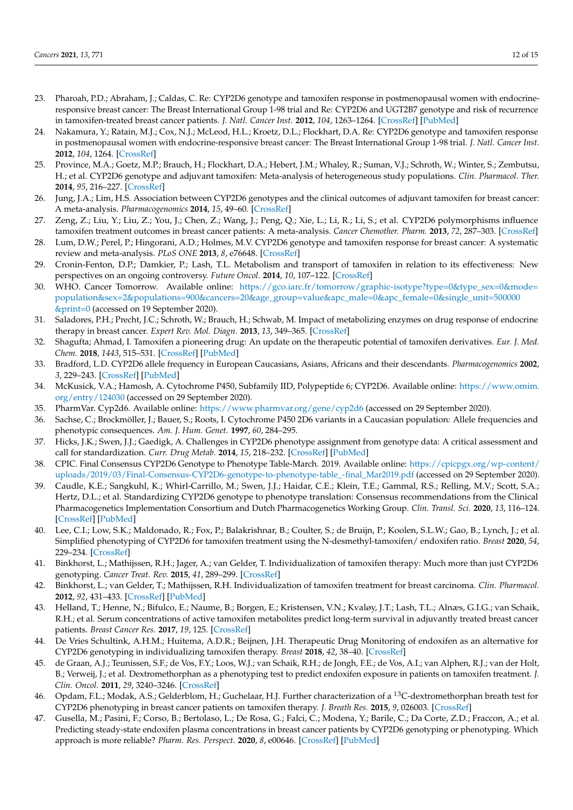- 23. Pharoah, P.D.; Abraham, J.; Caldas, C. Re: CYP2D6 genotype and tamoxifen response in postmenopausal women with endocrineresponsive breast cancer: The Breast International Group 1-98 trial and Re: CYP2D6 and UGT2B7 genotype and risk of recurrence in tamoxifen-treated breast cancer patients. *J. Natl. Cancer Inst.* **2012**, *104*, 1263–1264. [\[CrossRef\]](http://doi.org/10.1093/jnci/djs312) [\[PubMed\]](http://www.ncbi.nlm.nih.gov/pubmed/22851268)
- <span id="page-11-0"></span>24. Nakamura, Y.; Ratain, M.J.; Cox, N.J.; McLeod, H.L.; Kroetz, D.L.; Flockhart, D.A. Re: CYP2D6 genotype and tamoxifen response in postmenopausal women with endocrine-responsive breast cancer: The Breast International Group 1-98 trial. *J. Natl. Cancer Inst.* **2012**, *104*, 1264. [\[CrossRef\]](http://doi.org/10.1093/jnci/djs304)
- <span id="page-11-1"></span>25. Province, M.A.; Goetz, M.P.; Brauch, H.; Flockhart, D.A.; Hebert, J.M.; Whaley, R.; Suman, V.J.; Schroth, W.; Winter, S.; Zembutsu, H.; et al. CYP2D6 genotype and adjuvant tamoxifen: Meta-analysis of heterogeneous study populations. *Clin. Pharmacol. Ther.* **2014**, *95*, 216–227. [\[CrossRef\]](http://doi.org/10.1038/clpt.2013.186)
- 26. Jung, J.A.; Lim, H.S. Association between CYP2D6 genotypes and the clinical outcomes of adjuvant tamoxifen for breast cancer: A meta-analysis. *Pharmacogenomics* **2014**, *15*, 49–60. [\[CrossRef\]](http://doi.org/10.2217/pgs.13.221)
- 27. Zeng, Z.; Liu, Y.; Liu, Z.; You, J.; Chen, Z.; Wang, J.; Peng, Q.; Xie, L.; Li, R.; Li, S.; et al. CYP2D6 polymorphisms influence tamoxifen treatment outcomes in breast cancer patients: A meta-analysis. *Cancer Chemother. Pharm.* **2013**, *72*, 287–303. [\[CrossRef\]](http://doi.org/10.1007/s00280-013-2195-9)
- 28. Lum, D.W.; Perel, P.; Hingorani, A.D.; Holmes, M.V. CYP2D6 genotype and tamoxifen response for breast cancer: A systematic review and meta-analysis. *PLoS ONE* **2013**, *8*, e76648. [\[CrossRef\]](http://doi.org/10.1371/journal.pone.0076648)
- <span id="page-11-2"></span>29. Cronin-Fenton, D.P.; Damkier, P.; Lash, T.L. Metabolism and transport of tamoxifen in relation to its effectiveness: New perspectives on an ongoing controversy. *Future Oncol.* **2014**, *10*, 107–122. [\[CrossRef\]](http://doi.org/10.2217/fon.13.168)
- <span id="page-11-3"></span>30. WHO. Cancer Tomorrow. Available online: [https://gco.iarc.fr/tomorrow/graphic-isotype?type=0&type\\_sex=0&mode=](https://gco.iarc.fr/tomorrow/graphic-isotype?type=0&type_sex=0&mode=population&sex=2&populations=900&cancers=20&age_group=value&apc_male=0&apc_female=0&single_unit=500000&print=0) [population&sex=2&populations=900&cancers=20&age\\_group=value&apc\\_male=0&apc\\_female=0&single\\_unit=500000](https://gco.iarc.fr/tomorrow/graphic-isotype?type=0&type_sex=0&mode=population&sex=2&populations=900&cancers=20&age_group=value&apc_male=0&apc_female=0&single_unit=500000&print=0) [&print=0](https://gco.iarc.fr/tomorrow/graphic-isotype?type=0&type_sex=0&mode=population&sex=2&populations=900&cancers=20&age_group=value&apc_male=0&apc_female=0&single_unit=500000&print=0) (accessed on 19 September 2020).
- <span id="page-11-4"></span>31. Saladores, P.H.; Precht, J.C.; Schroth, W.; Brauch, H.; Schwab, M. Impact of metabolizing enzymes on drug response of endocrine therapy in breast cancer. *Expert Rev. Mol. Diagn.* **2013**, *13*, 349–365. [\[CrossRef\]](http://doi.org/10.1586/erm.13.26)
- <span id="page-11-5"></span>32. Shagufta; Ahmad, I. Tamoxifen a pioneering drug: An update on the therapeutic potential of tamoxifen derivatives. *Eur. J. Med. Chem.* **2018**, *1443*, 515–531. [\[CrossRef\]](http://doi.org/10.1016/j.ejmech.2017.11.056) [\[PubMed\]](http://www.ncbi.nlm.nih.gov/pubmed/29207335)
- <span id="page-11-6"></span>33. Bradford, L.D. CYP2D6 allele frequency in European Caucasians, Asians, Africans and their descendants. *Pharmacogenomics* **2002**, *3*, 229–243. [\[CrossRef\]](http://doi.org/10.1517/14622416.3.2.229) [\[PubMed\]](http://www.ncbi.nlm.nih.gov/pubmed/11972444)
- <span id="page-11-7"></span>34. McKusick, V.A.; Hamosh, A. Cytochrome P450, Subfamily IID, Polypeptide 6; CYP2D6. Available online: [https://www.omim.](https://www.omim.org/entry/124030) [org/entry/124030](https://www.omim.org/entry/124030) (accessed on 29 September 2020).
- <span id="page-11-8"></span>35. PharmVar. Cyp2d6. Available online: <https://www.pharmvar.org/gene/cyp2d6> (accessed on 29 September 2020).
- <span id="page-11-9"></span>36. Sachse, C.; Brockmöller, J.; Bauer, S.; Roots, I. Cytochrome P450 2D6 variants in a Caucasian population: Allele frequencies and phenotypic consequences. *Am. J. Hum. Genet.* **1997**, *60*, 284–295.
- <span id="page-11-10"></span>37. Hicks, J.K.; Swen, J.J.; Gaedigk, A. Challenges in CYP2D6 phenotype assignment from genotype data: A critical assessment and call for standardization. *Curr. Drug Metab.* **2014**, *15*, 218–232. [\[CrossRef\]](http://doi.org/10.2174/1389200215666140202215316) [\[PubMed\]](http://www.ncbi.nlm.nih.gov/pubmed/24524666)
- <span id="page-11-11"></span>38. CPIC. Final Consensus CYP2D6 Genotype to Phenotype Table-March. 2019. Available online: [https://cpicpgx.org/wp-content/](https://cpicpgx.org/wp-content/uploads/2019/03/Final-Consensus-CYP2D6-genotype-to-phenotype-table_-final_Mar2019.pdf) [uploads/2019/03/Final-Consensus-CYP2D6-genotype-to-phenotype-table\\_-final\\_Mar2019.pdf](https://cpicpgx.org/wp-content/uploads/2019/03/Final-Consensus-CYP2D6-genotype-to-phenotype-table_-final_Mar2019.pdf) (accessed on 29 September 2020).
- <span id="page-11-12"></span>39. Caudle, K.E.; Sangkuhl, K.; Whirl-Carrillo, M.; Swen, J.J.; Haidar, C.E.; Klein, T.E.; Gammal, R.S.; Relling, M.V.; Scott, S.A.; Hertz, D.L.; et al. Standardizing CYP2D6 genotype to phenotype translation: Consensus recommendations from the Clinical Pharmacogenetics Implementation Consortium and Dutch Pharmacogenetics Working Group. *Clin. Transl. Sci.* **2020**, *13*, 116–124. [\[CrossRef\]](http://doi.org/10.1111/cts.12692) [\[PubMed\]](http://www.ncbi.nlm.nih.gov/pubmed/31647186)
- <span id="page-11-13"></span>40. Lee, C.I.; Low, S.K.; Maldonado, R.; Fox, P.; Balakrishnar, B.; Coulter, S.; de Bruijn, P.; Koolen, S.L.W.; Gao, B.; Lynch, J.; et al. Simplified phenotyping of CYP2D6 for tamoxifen treatment using the N-desmethyl-tamoxifen/ endoxifen ratio. *Breast* **2020**, *54*, 229–234. [\[CrossRef\]](http://doi.org/10.1016/j.breast.2020.10.008)
- <span id="page-11-14"></span>41. Binkhorst, L.; Mathijssen, R.H.; Jager, A.; van Gelder, T. Individualization of tamoxifen therapy: Much more than just CYP2D6 genotyping. *Cancer Treat. Rev.* **2015**, *41*, 289–299. [\[CrossRef\]](http://doi.org/10.1016/j.ctrv.2015.01.002)
- 42. Binkhorst, L.; van Gelder, T.; Mathijssen, R.H. Individualization of tamoxifen treatment for breast carcinoma. *Clin. Pharmacol.* **2012**, *92*, 431–433. [\[CrossRef\]](http://doi.org/10.1038/clpt.2012.94) [\[PubMed\]](http://www.ncbi.nlm.nih.gov/pubmed/22910442)
- 43. Helland, T.; Henne, N.; Bifulco, E.; Naume, B.; Borgen, E.; Kristensen, V.N.; Kvaløy, J.T.; Lash, T.L.; Alnæs, G.I.G.; van Schaik, R.H.; et al. Serum concentrations of active tamoxifen metabolites predict long-term survival in adjuvantly treated breast cancer patients. *Breast Cancer Res.* **2017**, *19*, 125. [\[CrossRef\]](http://doi.org/10.1186/s13058-017-0916-4)
- <span id="page-11-15"></span>44. De Vries Schultink, A.H.M.; Huitema, A.D.R.; Beijnen, J.H. Therapeutic Drug Monitoring of endoxifen as an alternative for CYP2D6 genotyping in individualizing tamoxifen therapy. *Breast* **2018**, *42*, 38–40. [\[CrossRef\]](http://doi.org/10.1016/j.breast.2018.08.100)
- <span id="page-11-16"></span>45. de Graan, A.J.; Teunissen, S.F.; de Vos, F.Y.; Loos, W.J.; van Schaik, R.H.; de Jongh, F.E.; de Vos, A.I.; van Alphen, R.J.; van der Holt, B.; Verweij, J.; et al. Dextromethorphan as a phenotyping test to predict endoxifen exposure in patients on tamoxifen treatment. *J. Clin. Oncol.* **2011**, *29*, 3240–3246. [\[CrossRef\]](http://doi.org/10.1200/JCO.2010.32.9839)
- 46. Opdam, F.L.; Modak, A.S.; Gelderblom, H.; Guchelaar, H.J. Further characterization of a <sup>13</sup>C-dextromethorphan breath test for CYP2D6 phenotyping in breast cancer patients on tamoxifen therapy. *J. Breath Res.* **2015**, *9*, 026003. [\[CrossRef\]](http://doi.org/10.1088/1752-7155/9/2/026003)
- <span id="page-11-17"></span>47. Gusella, M.; Pasini, F.; Corso, B.; Bertolaso, L.; De Rosa, G.; Falci, C.; Modena, Y.; Barile, C.; Da Corte, Z.D.; Fraccon, A.; et al. Predicting steady-state endoxifen plasma concentrations in breast cancer patients by CYP2D6 genotyping or phenotyping. Which approach is more reliable? *Pharm. Res. Perspect.* **2020**, *8*, e00646. [\[CrossRef\]](http://doi.org/10.1002/prp2.646) [\[PubMed\]](http://www.ncbi.nlm.nih.gov/pubmed/32813313)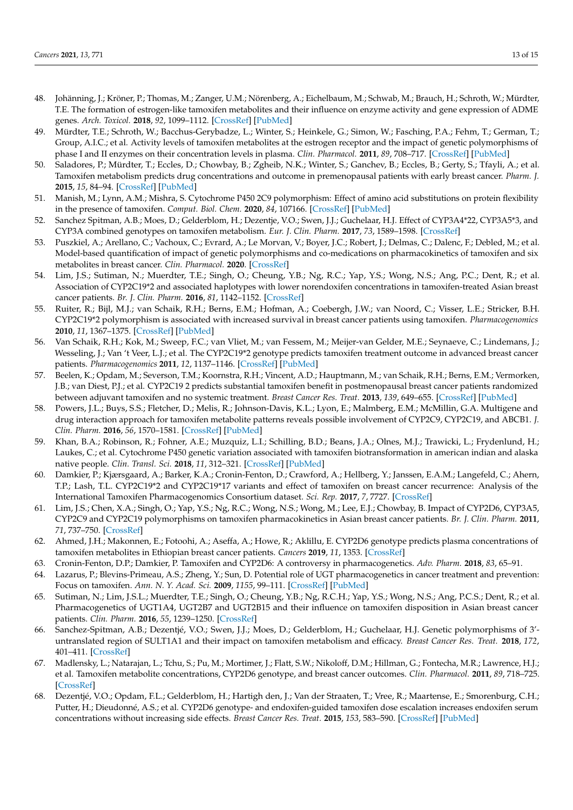- <span id="page-12-0"></span>48. Johänning, J.; Kröner, P.; Thomas, M.; Zanger, U.M.; Nörenberg, A.; Eichelbaum, M.; Schwab, M.; Brauch, H.; Schroth, W.; Mürdter, T.E. The formation of estrogen-like tamoxifen metabolites and their influence on enzyme activity and gene expression of ADME genes. *Arch. Toxicol.* **2018**, *92*, 1099–1112. [\[CrossRef\]](http://doi.org/10.1007/s00204-017-2147-y) [\[PubMed\]](http://www.ncbi.nlm.nih.gov/pubmed/29285606)
- <span id="page-12-1"></span>49. Mürdter, T.E.; Schroth, W.; Bacchus-Gerybadze, L.; Winter, S.; Heinkele, G.; Simon, W.; Fasching, P.A.; Fehm, T.; German, T.; Group, A.I.C.; et al. Activity levels of tamoxifen metabolites at the estrogen receptor and the impact of genetic polymorphisms of phase I and II enzymes on their concentration levels in plasma. *Clin. Pharmacol.* **2011**, *89*, 708–717. [\[CrossRef\]](http://doi.org/10.1038/clpt.2011.27) [\[PubMed\]](http://www.ncbi.nlm.nih.gov/pubmed/21451508)
- <span id="page-12-11"></span>50. Saladores, P.; Mürdter, T.; Eccles, D.; Chowbay, B.; Zgheib, N.K.; Winter, S.; Ganchev, B.; Eccles, B.; Gerty, S.; Tfayli, A.; et al. Tamoxifen metabolism predicts drug concentrations and outcome in premenopausal patients with early breast cancer. *Pharm. J.* **2015**, *15*, 84–94. [\[CrossRef\]](http://doi.org/10.1038/tpj.2014.34) [\[PubMed\]](http://www.ncbi.nlm.nih.gov/pubmed/25091503)
- 51. Manish, M.; Lynn, A.M.; Mishra, S. Cytochrome P450 2C9 polymorphism: Effect of amino acid substitutions on protein flexibility in the presence of tamoxifen. *Comput. Biol. Chem.* **2020**, *84*, 107166. [\[CrossRef\]](http://doi.org/10.1016/j.compbiolchem.2019.107166) [\[PubMed\]](http://www.ncbi.nlm.nih.gov/pubmed/31785970)
- 52. Sanchez Spitman, A.B.; Moes, D.; Gelderblom, H.; Dezentje, V.O.; Swen, J.J.; Guchelaar, H.J. Effect of CYP3A4\*22, CYP3A5\*3, and CYP3A combined genotypes on tamoxifen metabolism. *Eur. J. Clin. Pharm.* **2017**, *73*, 1589–1598. [\[CrossRef\]](http://doi.org/10.1007/s00228-017-2323-2)
- 53. Puszkiel, A.; Arellano, C.; Vachoux, C.; Evrard, A.; Le Morvan, V.; Boyer, J.C.; Robert, J.; Delmas, C.; Dalenc, F.; Debled, M.; et al. Model-based quantification of impact of genetic polymorphisms and co-medications on pharmacokinetics of tamoxifen and six metabolites in breast cancer. *Clin. Pharmacol.* **2020**. [\[CrossRef\]](http://doi.org/10.1002/cpt.2077)
- 54. Lim, J.S.; Sutiman, N.; Muerdter, T.E.; Singh, O.; Cheung, Y.B.; Ng, R.C.; Yap, Y.S.; Wong, N.S.; Ang, P.C.; Dent, R.; et al. Association of CYP2C19\*2 and associated haplotypes with lower norendoxifen concentrations in tamoxifen-treated Asian breast cancer patients. *Br. J. Clin. Pharm.* **2016**, *81*, 1142–1152. [\[CrossRef\]](http://doi.org/10.1111/bcp.12886)
- 55. Ruiter, R.; Bijl, M.J.; van Schaik, R.H.; Berns, E.M.; Hofman, A.; Coebergh, J.W.; van Noord, C.; Visser, L.E.; Stricker, B.H. CYP2C19\*2 polymorphism is associated with increased survival in breast cancer patients using tamoxifen. *Pharmacogenomics* **2010**, *11*, 1367–1375. [\[CrossRef\]](http://doi.org/10.2217/pgs.10.112) [\[PubMed\]](http://www.ncbi.nlm.nih.gov/pubmed/21047200)
- 56. Van Schaik, R.H.; Kok, M.; Sweep, F.C.; van Vliet, M.; van Fessem, M.; Meijer-van Gelder, M.E.; Seynaeve, C.; Lindemans, J.; Wesseling, J.; Van 't Veer, L.J.; et al. The CYP2C19\*2 genotype predicts tamoxifen treatment outcome in advanced breast cancer patients. *Pharmacogenomics* **2011**, *12*, 1137–1146. [\[CrossRef\]](http://doi.org/10.2217/pgs.11.54) [\[PubMed\]](http://www.ncbi.nlm.nih.gov/pubmed/21830868)
- 57. Beelen, K.; Opdam, M.; Severson, T.M.; Koornstra, R.H.; Vincent, A.D.; Hauptmann, M.; van Schaik, R.H.; Berns, E.M.; Vermorken, J.B.; van Diest, P.J.; et al. CYP2C19 2 predicts substantial tamoxifen benefit in postmenopausal breast cancer patients randomized between adjuvant tamoxifen and no systemic treatment. *Breast Cancer Res. Treat.* **2013**, *139*, 649–655. [\[CrossRef\]](http://doi.org/10.1007/s10549-013-2568-0) [\[PubMed\]](http://www.ncbi.nlm.nih.gov/pubmed/23736997)
- <span id="page-12-2"></span>58. Powers, J.L.; Buys, S.S.; Fletcher, D.; Melis, R.; Johnson-Davis, K.L.; Lyon, E.; Malmberg, E.M.; McMillin, G.A. Multigene and drug interaction approach for tamoxifen metabolite patterns reveals possible involvement of CYP2C9, CYP2C19, and ABCB1. *J. Clin. Pharm.* **2016**, *56*, 1570–1581. [\[CrossRef\]](http://doi.org/10.1002/jcph.771) [\[PubMed\]](http://www.ncbi.nlm.nih.gov/pubmed/27198207)
- <span id="page-12-3"></span>59. Khan, B.A.; Robinson, R.; Fohner, A.E.; Muzquiz, L.I.; Schilling, B.D.; Beans, J.A.; Olnes, M.J.; Trawicki, L.; Frydenlund, H.; Laukes, C.; et al. Cytochrome P450 genetic variation associated with tamoxifen biotransformation in american indian and alaska native people. *Clin. Transl. Sci.* **2018**, *11*, 312–321. [\[CrossRef\]](http://doi.org/10.1111/cts.12542) [\[PubMed\]](http://www.ncbi.nlm.nih.gov/pubmed/29436156)
- 60. Damkier, P.; Kjærsgaard, A.; Barker, K.A.; Cronin-Fenton, D.; Crawford, A.; Hellberg, Y.; Janssen, E.A.M.; Langefeld, C.; Ahern, T.P.; Lash, T.L. CYP2C19\*2 and CYP2C19\*17 variants and effect of tamoxifen on breast cancer recurrence: Analysis of the International Tamoxifen Pharmacogenomics Consortium dataset. *Sci. Rep.* **2017**, *7*, 7727. [\[CrossRef\]](http://doi.org/10.1038/s41598-017-08091-x)
- <span id="page-12-5"></span>61. Lim, J.S.; Chen, X.A.; Singh, O.; Yap, Y.S.; Ng, R.C.; Wong, N.S.; Wong, M.; Lee, E.J.; Chowbay, B. Impact of CYP2D6, CYP3A5, CYP2C9 and CYP2C19 polymorphisms on tamoxifen pharmacokinetics in Asian breast cancer patients. *Br. J. Clin. Pharm.* **2011**, *71*, 737–750. [\[CrossRef\]](http://doi.org/10.1111/j.1365-2125.2011.03905.x)
- <span id="page-12-4"></span>62. Ahmed, J.H.; Makonnen, E.; Fotoohi, A.; Aseffa, A.; Howe, R.; Aklillu, E. CYP2D6 genotype predicts plasma concentrations of tamoxifen metabolites in Ethiopian breast cancer patients. *Cancers* **2019**, *11*, 1353. [\[CrossRef\]](http://doi.org/10.3390/cancers11091353)
- <span id="page-12-6"></span>63. Cronin-Fenton, D.P.; Damkier, P. Tamoxifen and CYP2D6: A controversy in pharmacogenetics. *Adv. Pharm.* **2018**, *83*, 65–91.
- <span id="page-12-7"></span>64. Lazarus, P.; Blevins-Primeau, A.S.; Zheng, Y.; Sun, D. Potential role of UGT pharmacogenetics in cancer treatment and prevention: Focus on tamoxifen. *Ann. N. Y. Acad. Sci.* **2009**, *1155*, 99–111. [\[CrossRef\]](http://doi.org/10.1111/j.1749-6632.2009.04114.x) [\[PubMed\]](http://www.ncbi.nlm.nih.gov/pubmed/19250197)
- <span id="page-12-8"></span>65. Sutiman, N.; Lim, J.S.L.; Muerdter, T.E.; Singh, O.; Cheung, Y.B.; Ng, R.C.H.; Yap, Y.S.; Wong, N.S.; Ang, P.C.S.; Dent, R.; et al. Pharmacogenetics of UGT1A4, UGT2B7 and UGT2B15 and their influence on tamoxifen disposition in Asian breast cancer patients. *Clin. Pharm.* **2016**, *55*, 1239–1250. [\[CrossRef\]](http://doi.org/10.1007/s40262-016-0402-7)
- <span id="page-12-9"></span>66. Sanchez-Spitman, A.B.; Dezentjé, V.O.; Swen, J.J.; Moes, D.; Gelderblom, H.; Guchelaar, H.J. Genetic polymorphisms of 3' untranslated region of SULT1A1 and their impact on tamoxifen metabolism and efficacy. *Breast Cancer Res. Treat.* **2018**, *172*, 401–411. [\[CrossRef\]](http://doi.org/10.1007/s10549-018-4923-7)
- <span id="page-12-10"></span>67. Madlensky, L.; Natarajan, L.; Tchu, S.; Pu, M.; Mortimer, J.; Flatt, S.W.; Nikoloff, D.M.; Hillman, G.; Fontecha, M.R.; Lawrence, H.J.; et al. Tamoxifen metabolite concentrations, CYP2D6 genotype, and breast cancer outcomes. *Clin. Pharmacol.* **2011**, *89*, 718–725. [\[CrossRef\]](http://doi.org/10.1038/clpt.2011.32)
- <span id="page-12-12"></span>68. Dezentjé, V.O.; Opdam, F.L.; Gelderblom, H.; Hartigh den, J.; Van der Straaten, T.; Vree, R.; Maartense, E.; Smorenburg, C.H.; Putter, H.; Dieudonné, A.S.; et al. CYP2D6 genotype- and endoxifen-guided tamoxifen dose escalation increases endoxifen serum concentrations without increasing side effects. *Breast Cancer Res. Treat.* **2015**, *153*, 583–590. [\[CrossRef\]](http://doi.org/10.1007/s10549-015-3562-5) [\[PubMed\]](http://www.ncbi.nlm.nih.gov/pubmed/26369533)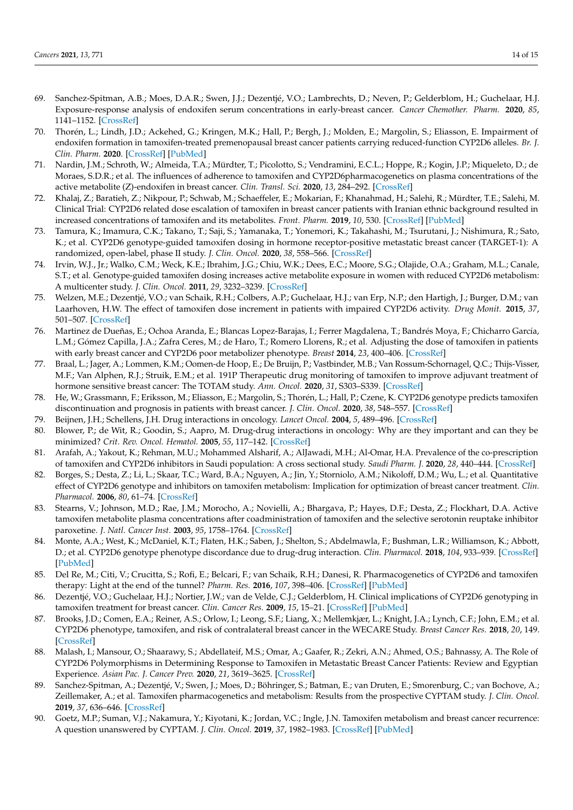- <span id="page-13-0"></span>69. Sanchez-Spitman, A.B.; Moes, D.A.R.; Swen, J.J.; Dezentjé, V.O.; Lambrechts, D.; Neven, P.; Gelderblom, H.; Guchelaar, H.J. Exposure-response analysis of endoxifen serum concentrations in early-breast cancer. *Cancer Chemother. Pharm.* **2020**, *85*, 1141–1152. [\[CrossRef\]](http://doi.org/10.1007/s00280-020-04089-x)
- <span id="page-13-1"></span>70. Thorén, L.; Lindh, J.D.; Ackehed, G.; Kringen, M.K.; Hall, P.; Bergh, J.; Molden, E.; Margolin, S.; Eliasson, E. Impairment of endoxifen formation in tamoxifen-treated premenopausal breast cancer patients carrying reduced-function CYP2D6 alleles. *Br. J. Clin. Pharm.* **2020**. [\[CrossRef\]](http://doi.org/10.1111/bcp.14500) [\[PubMed\]](http://www.ncbi.nlm.nih.gov/pubmed/32713032)
- <span id="page-13-2"></span>71. Nardin, J.M.; Schroth, W.; Almeida, T.A.; Mürdter, T.; Picolotto, S.; Vendramini, E.C.L.; Hoppe, R.; Kogin, J.P.; Miqueleto, D.; de Moraes, S.D.R.; et al. The influences of adherence to tamoxifen and CYP2D6pharmacogenetics on plasma concentrations of the active metabolite (Z)-endoxifen in breast cancer. *Clin. Transl. Sci.* **2020**, *13*, 284–292. [\[CrossRef\]](http://doi.org/10.1111/cts.12707)
- <span id="page-13-3"></span>72. Khalaj, Z.; Baratieh, Z.; Nikpour, P.; Schwab, M.; Schaeffeler, E.; Mokarian, F.; Khanahmad, H.; Salehi, R.; Mürdter, T.E.; Salehi, M. Clinical Trial: CYP2D6 related dose escalation of tamoxifen in breast cancer patients with Iranian ethnic background resulted in increased concentrations of tamoxifen and its metabolites. *Front. Pharm.* **2019**, *10*, 530. [\[CrossRef\]](http://doi.org/10.3389/fphar.2019.00530) [\[PubMed\]](http://www.ncbi.nlm.nih.gov/pubmed/31178724)
- <span id="page-13-4"></span>73. Tamura, K.; Imamura, C.K.; Takano, T.; Saji, S.; Yamanaka, T.; Yonemori, K.; Takahashi, M.; Tsurutani, J.; Nishimura, R.; Sato, K.; et al. CYP2D6 genotype-guided tamoxifen dosing in hormone receptor-positive metastatic breast cancer (TARGET-1): A randomized, open-label, phase II study. *J. Clin. Oncol.* **2020**, *38*, 558–566. [\[CrossRef\]](http://doi.org/10.1200/JCO.19.01412)
- <span id="page-13-5"></span>74. Irvin, W.J., Jr.; Walko, C.M.; Weck, K.E.; Ibrahim, J.G.; Chiu, W.K.; Dees, E.C.; Moore, S.G.; Olajide, O.A.; Graham, M.L.; Canale, S.T.; et al. Genotype-guided tamoxifen dosing increases active metabolite exposure in women with reduced CYP2D6 metabolism: A multicenter study. *J. Clin. Oncol.* **2011**, *29*, 3232–3239. [\[CrossRef\]](http://doi.org/10.1200/JCO.2010.31.4427)
- <span id="page-13-6"></span>75. Welzen, M.E.; Dezentjé, V.O.; van Schaik, R.H.; Colbers, A.P.; Guchelaar, H.J.; van Erp, N.P.; den Hartigh, J.; Burger, D.M.; van Laarhoven, H.W. The effect of tamoxifen dose increment in patients with impaired CYP2D6 activity. *Drug Monit.* **2015**, *37*, 501–507. [\[CrossRef\]](http://doi.org/10.1097/FTD.0000000000000195)
- <span id="page-13-7"></span>76. Martinez de Dueñas, E.; Ochoa Aranda, E.; Blancas Lopez-Barajas, I.; Ferrer Magdalena, T.; Bandrés Moya, F.; Chicharro García, L.M.; Gómez Capilla, J.A.; Zafra Ceres, M.; de Haro, T.; Romero Llorens, R.; et al. Adjusting the dose of tamoxifen in patients with early breast cancer and CYP2D6 poor metabolizer phenotype. *Breast* **2014**, *23*, 400–406. [\[CrossRef\]](http://doi.org/10.1016/j.breast.2014.02.008)
- <span id="page-13-8"></span>77. Braal, L.; Jager, A.; Lommen, K.M.; Oomen-de Hoop, E.; De Bruijn, P.; Vastbinder, M.B.; Van Rossum-Schornagel, Q.C.; Thijs-Visser, M.F.; Van Alphen, R.J.; Struik, E.M.; et al. 191P Therapeutic drug monitoring of tamoxifen to improve adjuvant treatment of hormone sensitive breast cancer: The TOTAM study. *Ann. Oncol.* **2020**, *31*, S303–S339. [\[CrossRef\]](http://doi.org/10.1016/j.annonc.2020.08.313)
- <span id="page-13-9"></span>78. He, W.; Grassmann, F.; Eriksson, M.; Eliasson, E.; Margolin, S.; Thorén, L.; Hall, P.; Czene, K. CYP2D6 genotype predicts tamoxifen discontinuation and prognosis in patients with breast cancer. *J. Clin. Oncol.* **2020**, *38*, 548–557. [\[CrossRef\]](http://doi.org/10.1200/JCO.19.01535)
- <span id="page-13-10"></span>79. Beijnen, J.H.; Schellens, J.H. Drug interactions in oncology. *Lancet Oncol.* **2004**, *5*, 489–496. [\[CrossRef\]](http://doi.org/10.1016/S1470-2045(04)01528-1)
- <span id="page-13-11"></span>80. Blower, P.; de Wit, R.; Goodin, S.; Aapro, M. Drug-drug interactions in oncology: Why are they important and can they be minimized? *Crit. Rev. Oncol. Hematol.* **2005**, *55*, 117–142. [\[CrossRef\]](http://doi.org/10.1016/j.critrevonc.2005.03.007)
- <span id="page-13-12"></span>81. Arafah, A.; Yakout, K.; Rehman, M.U.; Mohammed Alsharif, A.; AlJawadi, M.H.; Al-Omar, H.A. Prevalence of the co-prescription of tamoxifen and CYP2D6 inhibitors in Saudi population: A cross sectional study. *Saudi Pharm. J.* **2020**, *28*, 440–444. [\[CrossRef\]](http://doi.org/10.1016/j.jsps.2020.02.004)
- <span id="page-13-13"></span>82. Borges, S.; Desta, Z.; Li, L.; Skaar, T.C.; Ward, B.A.; Nguyen, A.; Jin, Y.; Storniolo, A.M.; Nikoloff, D.M.; Wu, L.; et al. Quantitative effect of CYP2D6 genotype and inhibitors on tamoxifen metabolism: Implication for optimization of breast cancer treatment. *Clin. Pharmacol.* **2006**, *80*, 61–74. [\[CrossRef\]](http://doi.org/10.1016/j.clpt.2006.03.013)
- <span id="page-13-14"></span>83. Stearns, V.; Johnson, M.D.; Rae, J.M.; Morocho, A.; Novielli, A.; Bhargava, P.; Hayes, D.F.; Desta, Z.; Flockhart, D.A. Active tamoxifen metabolite plasma concentrations after coadministration of tamoxifen and the selective serotonin reuptake inhibitor paroxetine. *J. Natl. Cancer Inst.* **2003**, *95*, 1758–1764. [\[CrossRef\]](http://doi.org/10.1093/jnci/djg108)
- <span id="page-13-15"></span>84. Monte, A.A.; West, K.; McDaniel, K.T.; Flaten, H.K.; Saben, J.; Shelton, S.; Abdelmawla, F.; Bushman, L.R.; Williamson, K.; Abbott, D.; et al. CYP2D6 genotype phenotype discordance due to drug-drug interaction. *Clin. Pharmacol.* **2018**, *104*, 933–939. [\[CrossRef\]](http://doi.org/10.1002/cpt.1135) [\[PubMed\]](http://www.ncbi.nlm.nih.gov/pubmed/29882961)
- <span id="page-13-16"></span>85. Del Re, M.; Citi, V.; Crucitta, S.; Rofi, E.; Belcari, F.; van Schaik, R.H.; Danesi, R. Pharmacogenetics of CYP2D6 and tamoxifen therapy: Light at the end of the tunnel? *Pharm. Res.* **2016**, *107*, 398–406. [\[CrossRef\]](http://doi.org/10.1016/j.phrs.2016.03.025) [\[PubMed\]](http://www.ncbi.nlm.nih.gov/pubmed/27060675)
- <span id="page-13-17"></span>86. Dezentjé, V.O.; Guchelaar, H.J.; Nortier, J.W.; van de Velde, C.J.; Gelderblom, H. Clinical implications of CYP2D6 genotyping in tamoxifen treatment for breast cancer. *Clin. Cancer Res.* **2009**, *15*, 15–21. [\[CrossRef\]](http://doi.org/10.1158/1078-0432.CCR-08-2006) [\[PubMed\]](http://www.ncbi.nlm.nih.gov/pubmed/19118028)
- <span id="page-13-18"></span>87. Brooks, J.D.; Comen, E.A.; Reiner, A.S.; Orlow, I.; Leong, S.F.; Liang, X.; Mellemkjær, L.; Knight, J.A.; Lynch, C.F.; John, E.M.; et al. CYP2D6 phenotype, tamoxifen, and risk of contralateral breast cancer in the WECARE Study. *Breast Cancer Res.* **2018**, *20*, 149. [\[CrossRef\]](http://doi.org/10.1186/s13058-018-1083-y)
- <span id="page-13-19"></span>88. Malash, I.; Mansour, O.; Shaarawy, S.; Abdellateif, M.S.; Omar, A.; Gaafer, R.; Zekri, A.N.; Ahmed, O.S.; Bahnassy, A. The Role of CYP2D6 Polymorphisms in Determining Response to Tamoxifen in Metastatic Breast Cancer Patients: Review and Egyptian Experience. *Asian Pac. J. Cancer Prev.* **2020**, *21*, 3619–3625. [\[CrossRef\]](http://doi.org/10.31557/APJCP.2020.21.12.3619)
- <span id="page-13-20"></span>89. Sanchez-Spitman, A.; Dezentjé, V.; Swen, J.; Moes, D.; Böhringer, S.; Batman, E.; van Druten, E.; Smorenburg, C.; van Bochove, A.; Zeillemaker, A.; et al. Tamoxifen pharmacogenetics and metabolism: Results from the prospective CYPTAM study. *J. Clin. Oncol.* **2019**, *37*, 636–646. [\[CrossRef\]](http://doi.org/10.1200/JCO.18.00307)
- <span id="page-13-21"></span>90. Goetz, M.P.; Suman, V.J.; Nakamura, Y.; Kiyotani, K.; Jordan, V.C.; Ingle, J.N. Tamoxifen metabolism and breast cancer recurrence: A question unanswered by CYPTAM. *J. Clin. Oncol.* **2019**, *37*, 1982–1983. [\[CrossRef\]](http://doi.org/10.1200/JCO.19.00504) [\[PubMed\]](http://www.ncbi.nlm.nih.gov/pubmed/31211604)